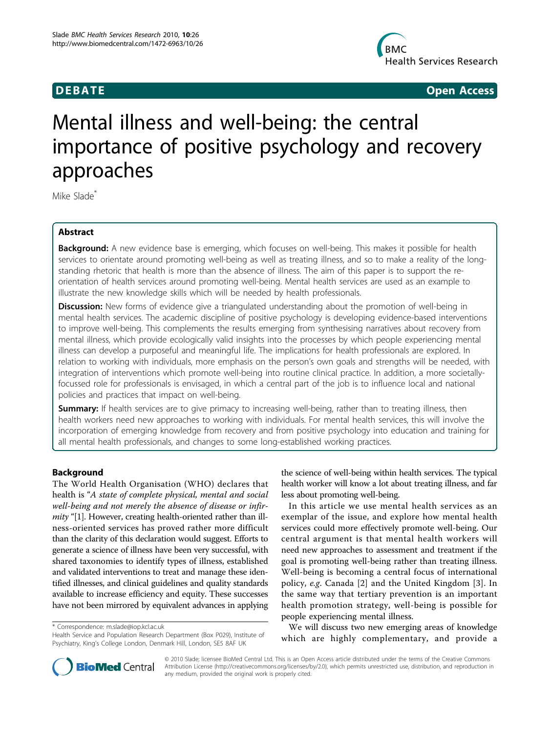

**DEBATE CONSERVATION CONSERVATION** 

# Mental illness and well-being: the central importance of positive psychology and recovery approaches

Mike Slade<sup>\*</sup>

# Abstract

**Background:** A new evidence base is emerging, which focuses on well-being. This makes it possible for health services to orientate around promoting well-being as well as treating illness, and so to make a reality of the longstanding rhetoric that health is more than the absence of illness. The aim of this paper is to support the reorientation of health services around promoting well-being. Mental health services are used as an example to illustrate the new knowledge skills which will be needed by health professionals.

**Discussion:** New forms of evidence give a triangulated understanding about the promotion of well-being in mental health services. The academic discipline of positive psychology is developing evidence-based interventions to improve well-being. This complements the results emerging from synthesising narratives about recovery from mental illness, which provide ecologically valid insights into the processes by which people experiencing mental illness can develop a purposeful and meaningful life. The implications for health professionals are explored. In relation to working with individuals, more emphasis on the person's own goals and strengths will be needed, with integration of interventions which promote well-being into routine clinical practice. In addition, a more societallyfocussed role for professionals is envisaged, in which a central part of the job is to influence local and national policies and practices that impact on well-being.

**Summary:** If health services are to give primacy to increasing well-being, rather than to treating illness, then health workers need new approaches to working with individuals. For mental health services, this will involve the incorporation of emerging knowledge from recovery and from positive psychology into education and training for all mental health professionals, and changes to some long-established working practices.

# Background

The World Health Organisation (WHO) declares that health is "A state of complete physical, mental and social well-being and not merely the absence of disease or infir-mity "[\[1](#page-11-0)]. However, creating health-oriented rather than illness-oriented services has proved rather more difficult than the clarity of this declaration would suggest. Efforts to generate a science of illness have been very successful, with shared taxonomies to identify types of illness, established and validated interventions to treat and manage these identified illnesses, and clinical guidelines and quality standards available to increase efficiency and equity. These successes have not been mirrored by equivalent advances in applying

\* Correspondence: [m.slade@iop.kcl.ac.uk](mailto:m.slade@iop.kcl.ac.uk)

the science of well-being within health services. The typical health worker will know a lot about treating illness, and far less about promoting well-being.

In this article we use mental health services as an exemplar of the issue, and explore how mental health services could more effectively promote well-being. Our central argument is that mental health workers will need new approaches to assessment and treatment if the goal is promoting well-being rather than treating illness. Well-being is becoming a central focus of international policy, e.g. Canada [\[2](#page-11-0)] and the United Kingdom [[3\]](#page-11-0). In the same way that tertiary prevention is an important health promotion strategy, well-being is possible for people experiencing mental illness.

We will discuss two new emerging areas of knowledge which are highly complementary, and provide a



© 2010 Slade; licensee BioMed Central Ltd. This is an Open Access article distributed under the terms of the Creative Commons Attribution License [\(http://creativecommons.org/licenses/by/2.0](http://creativecommons.org/licenses/by/2.0)), which permits unrestricted use, distribution, and reproduction in any medium, provided the original work is properly cited.

Health Service and Population Research Department (Box P029), Institute of Psychiatry, King's College London, Denmark Hill, London, SE5 8AF UK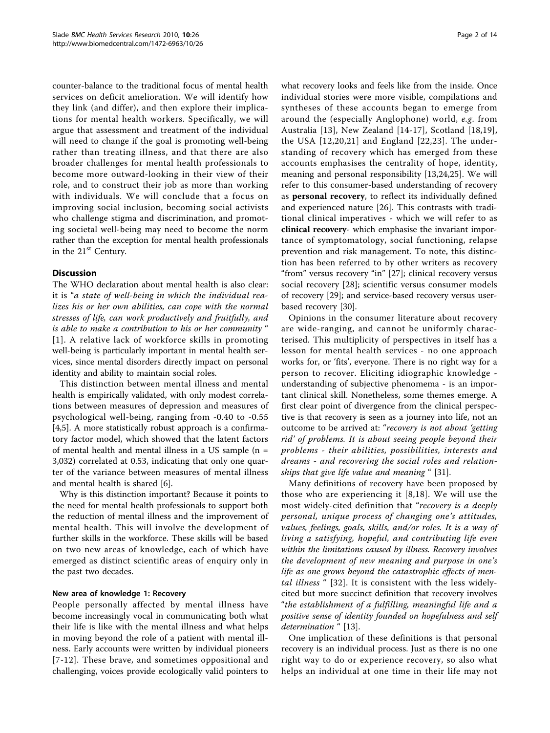counter-balance to the traditional focus of mental health services on deficit amelioration. We will identify how they link (and differ), and then explore their implications for mental health workers. Specifically, we will argue that assessment and treatment of the individual will need to change if the goal is promoting well-being rather than treating illness, and that there are also broader challenges for mental health professionals to become more outward-looking in their view of their role, and to construct their job as more than working with individuals. We will conclude that a focus on improving social inclusion, becoming social activists who challenge stigma and discrimination, and promoting societal well-being may need to become the norm rather than the exception for mental health professionals in the  $21<sup>st</sup>$  Century.

# Discussion

The WHO declaration about mental health is also clear: it is "a state of well-being in which the individual realizes his or her own abilities, can cope with the normal stresses of life, can work productively and fruitfully, and is able to make a contribution to his or her community " [[1\]](#page-11-0). A relative lack of workforce skills in promoting well-being is particularly important in mental health services, since mental disorders directly impact on personal identity and ability to maintain social roles.

This distinction between mental illness and mental health is empirically validated, with only modest correlations between measures of depression and measures of psychological well-being, ranging from -0.40 to -0.55 [[4,5\]](#page-11-0). A more statistically robust approach is a confirmatory factor model, which showed that the latent factors of mental health and mental illness in a US sample  $(n =$ 3,032) correlated at 0.53, indicating that only one quarter of the variance between measures of mental illness and mental health is shared [[6\]](#page-11-0).

Why is this distinction important? Because it points to the need for mental health professionals to support both the reduction of mental illness and the improvement of mental health. This will involve the development of further skills in the workforce. These skills will be based on two new areas of knowledge, each of which have emerged as distinct scientific areas of enquiry only in the past two decades.

# New area of knowledge 1: Recovery

People personally affected by mental illness have become increasingly vocal in communicating both what their life is like with the mental illness and what helps in moving beyond the role of a patient with mental illness. Early accounts were written by individual pioneers [[7](#page-11-0)-[12\]](#page-11-0). These brave, and sometimes oppositional and challenging, voices provide ecologically valid pointers to what recovery looks and feels like from the inside. Once individual stories were more visible, compilations and syntheses of these accounts began to emerge from around the (especially Anglophone) world, e.g. from Australia [[13](#page-11-0)], New Zealand [[14](#page-11-0)-[17](#page-11-0)], Scotland [\[18](#page-11-0),[19](#page-11-0)], the USA [\[12,20](#page-11-0)[,21\]](#page-12-0) and England [\[22,23\]](#page-12-0). The understanding of recovery which has emerged from these accounts emphasises the centrality of hope, identity, meaning and personal responsibility [[13,](#page-11-0)[24,25](#page-12-0)]. We will refer to this consumer-based understanding of recovery as personal recovery, to reflect its individually defined and experienced nature [[26](#page-12-0)]. This contrasts with traditional clinical imperatives - which we will refer to as clinical recovery- which emphasise the invariant importance of symptomatology, social functioning, relapse prevention and risk management. To note, this distinction has been referred to by other writers as recovery "from" versus recovery "in" [[27\]](#page-12-0); clinical recovery versus social recovery [\[28](#page-12-0)]; scientific versus consumer models of recovery [[29\]](#page-12-0); and service-based recovery versus userbased recovery [[30](#page-12-0)].

Opinions in the consumer literature about recovery are wide-ranging, and cannot be uniformly characterised. This multiplicity of perspectives in itself has a lesson for mental health services - no one approach works for, or 'fits', everyone. There is no right way for a person to recover. Eliciting idiographic knowledge understanding of subjective phenomema - is an important clinical skill. Nonetheless, some themes emerge. A first clear point of divergence from the clinical perspective is that recovery is seen as a journey into life, not an outcome to be arrived at: "recovery is not about 'getting rid' of problems. It is about seeing people beyond their problems - their abilities, possibilities, interests and dreams - and recovering the social roles and relationships that give life value and meaning " [\[31](#page-12-0)].

Many definitions of recovery have been proposed by those who are experiencing it [[8](#page-11-0),[18](#page-11-0)]. We will use the most widely-cited definition that "recovery is a deeply personal, unique process of changing one's attitudes, values, feelings, goals, skills, and/or roles. It is a way of living a satisfying, hopeful, and contributing life even within the limitations caused by illness. Recovery involves the development of new meaning and purpose in one's life as one grows beyond the catastrophic effects of mental illness " [[32](#page-12-0)]. It is consistent with the less widelycited but more succinct definition that recovery involves "the establishment of a fulfilling, meaningful life and a positive sense of identity founded on hopefulness and self determination " [\[13\]](#page-11-0).

One implication of these definitions is that personal recovery is an individual process. Just as there is no one right way to do or experience recovery, so also what helps an individual at one time in their life may not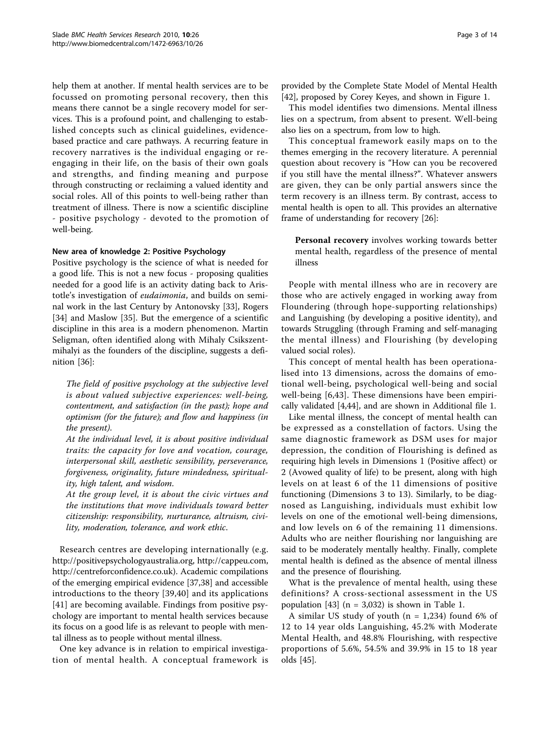help them at another. If mental health services are to be focussed on promoting personal recovery, then this means there cannot be a single recovery model for services. This is a profound point, and challenging to established concepts such as clinical guidelines, evidencebased practice and care pathways. A recurring feature in recovery narratives is the individual engaging or reengaging in their life, on the basis of their own goals and strengths, and finding meaning and purpose through constructing or reclaiming a valued identity and social roles. All of this points to well-being rather than treatment of illness. There is now a scientific discipline - positive psychology - devoted to the promotion of well-being.

#### New area of knowledge 2: Positive Psychology

Positive psychology is the science of what is needed for a good life. This is not a new focus - proposing qualities needed for a good life is an activity dating back to Aristotle's investigation of eudaimonia, and builds on seminal work in the last Century by Antonovsky [[33](#page-12-0)], Rogers [[34\]](#page-12-0) and Maslow [[35\]](#page-12-0). But the emergence of a scientific discipline in this area is a modern phenomenon. Martin Seligman, often identified along with Mihaly Csikszentmihalyi as the founders of the discipline, suggests a definition [\[36\]](#page-12-0):

The field of positive psychology at the subjective level is about valued subjective experiences: well-being, contentment, and satisfaction (in the past); hope and optimism (for the future); and flow and happiness (in the present).

At the individual level, it is about positive individual traits: the capacity for love and vocation, courage, interpersonal skill, aesthetic sensibility, perseverance, forgiveness, originality, future mindedness, spirituality, high talent, and wisdom.

At the group level, it is about the civic virtues and the institutions that move individuals toward better citizenship: responsibility, nurturance, altruism, civility, moderation, tolerance, and work ethic.

Research centres are developing internationally (e.g. [http://positivepsychologyaustralia.org,](http://positivepsychologyaustralia.org)<http://cappeu.com>, <http://centreforconfidence.co.uk>). Academic compilations of the emerging empirical evidence [\[37,38](#page-12-0)] and accessible introductions to the theory [[39,40\]](#page-12-0) and its applications [[41](#page-12-0)] are becoming available. Findings from positive psychology are important to mental health services because its focus on a good life is as relevant to people with mental illness as to people without mental illness.

One key advance is in relation to empirical investigation of mental health. A conceptual framework is provided by the Complete State Model of Mental Health [[42\]](#page-12-0), proposed by Corey Keyes, and shown in Figure [1.](#page-3-0)

This model identifies two dimensions. Mental illness lies on a spectrum, from absent to present. Well-being also lies on a spectrum, from low to high.

This conceptual framework easily maps on to the themes emerging in the recovery literature. A perennial question about recovery is "How can you be recovered if you still have the mental illness?". Whatever answers are given, they can be only partial answers since the term recovery is an illness term. By contrast, access to mental health is open to all. This provides an alternative frame of understanding for recovery [[26\]](#page-12-0):

Personal recovery involves working towards better mental health, regardless of the presence of mental illness

People with mental illness who are in recovery are those who are actively engaged in working away from Floundering (through hope-supporting relationships) and Languishing (by developing a positive identity), and towards Struggling (through Framing and self-managing the mental illness) and Flourishing (by developing valued social roles).

This concept of mental health has been operationalised into 13 dimensions, across the domains of emotional well-being, psychological well-being and social well-being [[6](#page-11-0)[,43\]](#page-12-0). These dimensions have been empirically validated [[4,](#page-11-0)[44\]](#page-12-0), and are shown in Additional file [1](#page-11-0).

Like mental illness, the concept of mental health can be expressed as a constellation of factors. Using the same diagnostic framework as DSM uses for major depression, the condition of Flourishing is defined as requiring high levels in Dimensions 1 (Positive affect) or 2 (Avowed quality of life) to be present, along with high levels on at least 6 of the 11 dimensions of positive functioning (Dimensions 3 to 13). Similarly, to be diagnosed as Languishing, individuals must exhibit low levels on one of the emotional well-being dimensions, and low levels on 6 of the remaining 11 dimensions. Adults who are neither flourishing nor languishing are said to be moderately mentally healthy. Finally, complete mental health is defined as the absence of mental illness and the presence of flourishing.

What is the prevalence of mental health, using these definitions? A cross-sectional assessment in the US population [[43\]](#page-12-0)  $(n = 3,032)$  is shown in Table [1](#page-3-0).

A similar US study of youth ( $n = 1,234$ ) found 6% of 12 to 14 year olds Languishing, 45.2% with Moderate Mental Health, and 48.8% Flourishing, with respective proportions of 5.6%, 54.5% and 39.9% in 15 to 18 year olds [[45](#page-12-0)].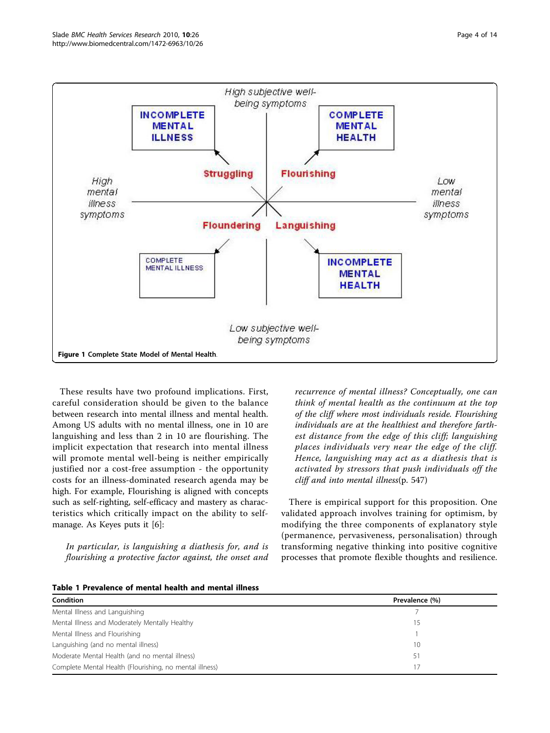<span id="page-3-0"></span>

These results have two profound implications. First, careful consideration should be given to the balance between research into mental illness and mental health. Among US adults with no mental illness, one in 10 are languishing and less than 2 in 10 are flourishing. The implicit expectation that research into mental illness will promote mental well-being is neither empirically justified nor a cost-free assumption - the opportunity costs for an illness-dominated research agenda may be high. For example, Flourishing is aligned with concepts such as self-righting, self-efficacy and mastery as characteristics which critically impact on the ability to selfmanage. As Keyes puts it [[6](#page-11-0)]:

In particular, is languishing a diathesis for, and is flourishing a protective factor against, the onset and

recurrence of mental illness? Conceptually, one can think of mental health as the continuum at the top of the cliff where most individuals reside. Flourishing individuals are at the healthiest and therefore farthest distance from the edge of this cliff; languishing places individuals very near the edge of the cliff. Hence, languishing may act as a diathesis that is activated by stressors that push individuals off the cliff and into mental illness(p. 547)

There is empirical support for this proposition. One validated approach involves training for optimism, by modifying the three components of explanatory style (permanence, pervasiveness, personalisation) through transforming negative thinking into positive cognitive processes that promote flexible thoughts and resilience.

| Table 1 Prevalence of mental health and mental illness |  |
|--------------------------------------------------------|--|
|--------------------------------------------------------|--|

| Condition                                               | Prevalence (%) |
|---------------------------------------------------------|----------------|
| Mental Illness and Languishing                          |                |
| Mental Illness and Moderately Mentally Healthy          | 15             |
| Mental Illness and Flourishing                          |                |
| Languishing (and no mental illness)                     | 10             |
| Moderate Mental Health (and no mental illness)          | 51             |
| Complete Mental Health (Flourishing, no mental illness) |                |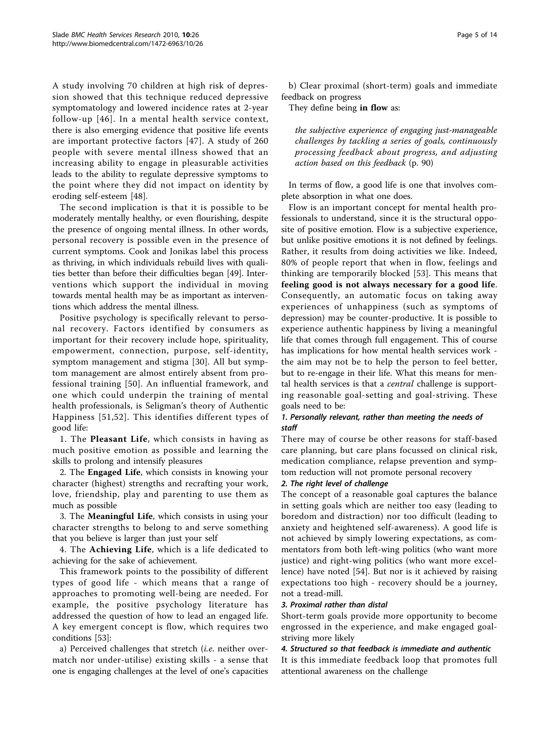A study involving 70 children at high risk of depression showed that this technique reduced depressive symptomatology and lowered incidence rates at 2-year follow-up [[46\]](#page-12-0). In a mental health service context, there is also emerging evidence that positive life events are important protective factors [[47](#page-12-0)]. A study of 260 people with severe mental illness showed that an increasing ability to engage in pleasurable activities leads to the ability to regulate depressive symptoms to the point where they did not impact on identity by eroding self-esteem [[48\]](#page-12-0).

The second implication is that it is possible to be moderately mentally healthy, or even flourishing, despite the presence of ongoing mental illness. In other words, personal recovery is possible even in the presence of current symptoms. Cook and Jonikas label this process as thriving, in which individuals rebuild lives with qualities better than before their difficulties began [[49\]](#page-12-0). Interventions which support the individual in moving towards mental health may be as important as interventions which address the mental illness.

Positive psychology is specifically relevant to personal recovery. Factors identified by consumers as important for their recovery include hope, spirituality, empowerment, connection, purpose, self-identity, symptom management and stigma [\[30\]](#page-12-0). All but symptom management are almost entirely absent from professional training [[50\]](#page-12-0). An influential framework, and one which could underpin the training of mental health professionals, is Seligman's theory of Authentic Happiness [[51,52](#page-12-0)]. This identifies different types of good life:

1. The Pleasant Life, which consists in having as much positive emotion as possible and learning the skills to prolong and intensify pleasures

2. The Engaged Life, which consists in knowing your character (highest) strengths and recrafting your work, love, friendship, play and parenting to use them as much as possible

3. The Meaningful Life, which consists in using your character strengths to belong to and serve something that you believe is larger than just your self

4. The Achieving Life, which is a life dedicated to achieving for the sake of achievement.

This framework points to the possibility of different types of good life - which means that a range of approaches to promoting well-being are needed. For example, the positive psychology literature has addressed the question of how to lead an engaged life. A key emergent concept is flow, which requires two conditions [[53](#page-12-0)]:

a) Perceived challenges that stretch (*i.e.* neither overmatch nor under-utilise) existing skills - a sense that one is engaging challenges at the level of one's capacities

b) Clear proximal (short-term) goals and immediate feedback on progress

They define being in flow as:

the subjective experience of engaging just-manageable challenges by tackling a series of goals, continuously processing feedback about progress, and adjusting action based on this feedback (p. 90)

In terms of flow, a good life is one that involves complete absorption in what one does.

Flow is an important concept for mental health professionals to understand, since it is the structural opposite of positive emotion. Flow is a subjective experience, but unlike positive emotions it is not defined by feelings. Rather, it results from doing activities we like. Indeed, 80% of people report that when in flow, feelings and thinking are temporarily blocked [[53](#page-12-0)]. This means that feeling good is not always necessary for a good life. Consequently, an automatic focus on taking away experiences of unhappiness (such as symptoms of depression) may be counter-productive. It is possible to experience authentic happiness by living a meaningful life that comes through full engagement. This of course has implications for how mental health services work the aim may not be to help the person to feel better, but to re-engage in their life. What this means for mental health services is that a central challenge is supporting reasonable goal-setting and goal-striving. These goals need to be:

# 1. Personally relevant, rather than meeting the needs of staff

There may of course be other reasons for staff-based care planning, but care plans focussed on clinical risk, medication compliance, relapse prevention and symptom reduction will not promote personal recovery

# 2. The right level of challenge

The concept of a reasonable goal captures the balance in setting goals which are neither too easy (leading to boredom and distraction) nor too difficult (leading to anxiety and heightened self-awareness). A good life is not achieved by simply lowering expectations, as commentators from both left-wing politics (who want more justice) and right-wing politics (who want more excellence) have noted [\[54](#page-12-0)]. But nor is it achieved by raising expectations too high - recovery should be a journey, not a tread-mill.

# 3. Proximal rather than distal

Short-term goals provide more opportunity to become engrossed in the experience, and make engaged goalstriving more likely

4. Structured so that feedback is immediate and authentic

It is this immediate feedback loop that promotes full attentional awareness on the challenge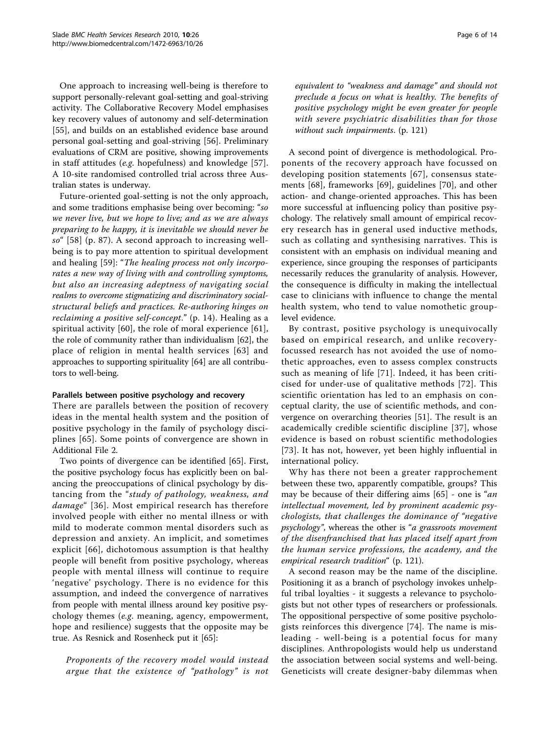One approach to increasing well-being is therefore to support personally-relevant goal-setting and goal-striving activity. The Collaborative Recovery Model emphasises key recovery values of autonomy and self-determination [[55\]](#page-12-0), and builds on an established evidence base around personal goal-setting and goal-striving [[56\]](#page-12-0). Preliminary evaluations of CRM are positive, showing improvements in staff attitudes (e.g. hopefulness) and knowledge [[57](#page-12-0)]. A 10-site randomised controlled trial across three Australian states is underway.

Future-oriented goal-setting is not the only approach, and some traditions emphasise being over becoming: "so we never live, but we hope to live; and as we are always preparing to be happy, it is inevitable we should never be so" [[58\]](#page-12-0) (p. 87). A second approach to increasing wellbeing is to pay more attention to spiritual development and healing [[59\]](#page-12-0): "The healing process not only incorporates a new way of living with and controlling symptoms, but also an increasing adeptness of navigating social realms to overcome stigmatizing and discriminatory socialstructural beliefs and practices. Re-authoring hinges on reclaiming a positive self-concept." (p. 14). Healing as a spiritual activity [[60\]](#page-12-0), the role of moral experience [[61](#page-12-0)], the role of community rather than individualism [[62\]](#page-12-0), the place of religion in mental health services [\[63\]](#page-12-0) and approaches to supporting spirituality [\[64\]](#page-12-0) are all contributors to well-being.

#### Parallels between positive psychology and recovery

There are parallels between the position of recovery ideas in the mental health system and the position of positive psychology in the family of psychology disciplines [[65](#page-12-0)]. Some points of convergence are shown in Additional File [2.](#page-11-0)

Two points of divergence can be identified [[65\]](#page-12-0). First, the positive psychology focus has explicitly been on balancing the preoccupations of clinical psychology by distancing from the "study of pathology, weakness, and damage" [[36](#page-12-0)]. Most empirical research has therefore involved people with either no mental illness or with mild to moderate common mental disorders such as depression and anxiety. An implicit, and sometimes explicit [[66\]](#page-12-0), dichotomous assumption is that healthy people will benefit from positive psychology, whereas people with mental illness will continue to require 'negative' psychology. There is no evidence for this assumption, and indeed the convergence of narratives from people with mental illness around key positive psychology themes (e.g. meaning, agency, empowerment, hope and resilience) suggests that the opposite may be true. As Resnick and Rosenheck put it [\[65\]](#page-12-0):

Proponents of the recovery model would instead argue that the existence of "pathology" is not

equivalent to "weakness and damage" and should not preclude a focus on what is healthy. The benefits of positive psychology might be even greater for people with severe psychiatric disabilities than for those without such impairments. (p. 121)

A second point of divergence is methodological. Proponents of the recovery approach have focussed on developing position statements [\[67\]](#page-12-0), consensus statements [[68\]](#page-12-0), frameworks [\[69](#page-12-0)], guidelines [[70\]](#page-12-0), and other action- and change-oriented approaches. This has been more successful at influencing policy than positive psychology. The relatively small amount of empirical recovery research has in general used inductive methods, such as collating and synthesising narratives. This is consistent with an emphasis on individual meaning and experience, since grouping the responses of participants necessarily reduces the granularity of analysis. However, the consequence is difficulty in making the intellectual case to clinicians with influence to change the mental health system, who tend to value nomothetic grouplevel evidence.

By contrast, positive psychology is unequivocally based on empirical research, and unlike recoveryfocussed research has not avoided the use of nomothetic approaches, even to assess complex constructs such as meaning of life [[71](#page-12-0)]. Indeed, it has been criticised for under-use of qualitative methods [[72\]](#page-12-0). This scientific orientation has led to an emphasis on conceptual clarity, the use of scientific methods, and convergence on overarching theories [\[51](#page-12-0)]. The result is an academically credible scientific discipline [[37\]](#page-12-0), whose evidence is based on robust scientific methodologies [[73](#page-12-0)]. It has not, however, yet been highly influential in international policy.

Why has there not been a greater rapprochement between these two, apparently compatible, groups? This may be because of their differing aims [\[65](#page-12-0)] - one is "an intellectual movement, led by prominent academic psychologists, that challenges the dominance of "negative psychology", whereas the other is "a grassroots movement of the disenfranchised that has placed itself apart from the human service professions, the academy, and the empirical research tradition" (p. 121).

A second reason may be the name of the discipline. Positioning it as a branch of psychology invokes unhelpful tribal loyalties - it suggests a relevance to psychologists but not other types of researchers or professionals. The oppositional perspective of some positive psychologists reinforces this divergence [[74\]](#page-12-0). The name is misleading - well-being is a potential focus for many disciplines. Anthropologists would help us understand the association between social systems and well-being. Geneticists will create designer-baby dilemmas when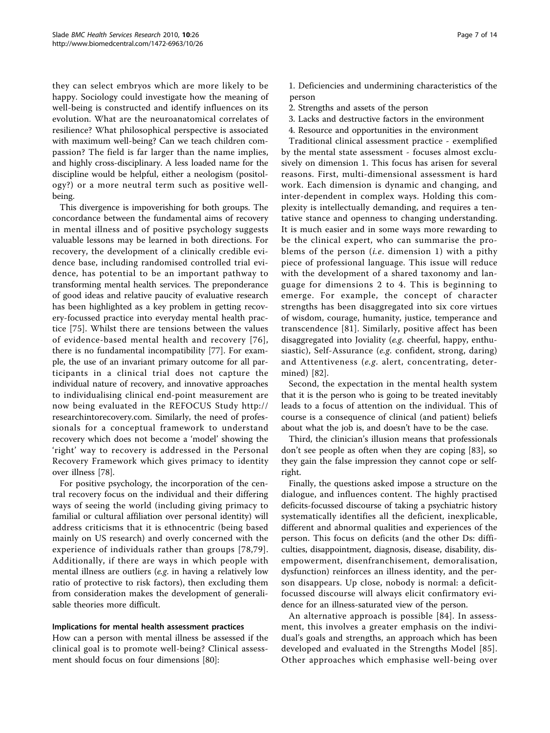they can select embryos which are more likely to be happy. Sociology could investigate how the meaning of well-being is constructed and identify influences on its evolution. What are the neuroanatomical correlates of resilience? What philosophical perspective is associated with maximum well-being? Can we teach children compassion? The field is far larger than the name implies, and highly cross-disciplinary. A less loaded name for the discipline would be helpful, either a neologism (positology?) or a more neutral term such as positive wellbeing.

This divergence is impoverishing for both groups. The concordance between the fundamental aims of recovery in mental illness and of positive psychology suggests valuable lessons may be learned in both directions. For recovery, the development of a clinically credible evidence base, including randomised controlled trial evidence, has potential to be an important pathway to transforming mental health services. The preponderance of good ideas and relative paucity of evaluative research has been highlighted as a key problem in getting recovery-focussed practice into everyday mental health practice [[75\]](#page-12-0). Whilst there are tensions between the values of evidence-based mental health and recovery [[76\]](#page-12-0), there is no fundamental incompatibility [[77\]](#page-12-0). For example, the use of an invariant primary outcome for all participants in a clinical trial does not capture the individual nature of recovery, and innovative approaches to individualising clinical end-point measurement are now being evaluated in the REFOCUS Study [http://](http://researchintorecovery.com) [researchintorecovery.com.](http://researchintorecovery.com) Similarly, the need of professionals for a conceptual framework to understand recovery which does not become a 'model' showing the 'right' way to recovery is addressed in the Personal Recovery Framework which gives primacy to identity over illness [\[78\]](#page-12-0).

For positive psychology, the incorporation of the central recovery focus on the individual and their differing ways of seeing the world (including giving primacy to familial or cultural affiliation over personal identity) will address criticisms that it is ethnocentric (being based mainly on US research) and overly concerned with the experience of individuals rather than groups [\[78,79\]](#page-12-0). Additionally, if there are ways in which people with mental illness are outliers (e.g. in having a relatively low ratio of protective to risk factors), then excluding them from consideration makes the development of generalisable theories more difficult.

# Implications for mental health assessment practices

How can a person with mental illness be assessed if the clinical goal is to promote well-being? Clinical assessment should focus on four dimensions [\[80](#page-12-0)]:

- 1. Deficiencies and undermining characteristics of the person
- 2. Strengths and assets of the person
- 3. Lacks and destructive factors in the environment
- 4. Resource and opportunities in the environment

Traditional clinical assessment practice - exemplified by the mental state assessment - focuses almost exclusively on dimension 1. This focus has arisen for several reasons. First, multi-dimensional assessment is hard work. Each dimension is dynamic and changing, and inter-dependent in complex ways. Holding this complexity is intellectually demanding, and requires a tentative stance and openness to changing understanding. It is much easier and in some ways more rewarding to be the clinical expert, who can summarise the problems of the person  $(i.e.$  dimension 1) with a pithy piece of professional language. This issue will reduce with the development of a shared taxonomy and language for dimensions 2 to 4. This is beginning to emerge. For example, the concept of character strengths has been disaggregated into six core virtues of wisdom, courage, humanity, justice, temperance and transcendence [[81\]](#page-13-0). Similarly, positive affect has been disaggregated into Joviality (e.g. cheerful, happy, enthusiastic), Self-Assurance (e.g. confident, strong, daring) and Attentiveness (e.g. alert, concentrating, determined) [[82\]](#page-13-0).

Second, the expectation in the mental health system that it is the person who is going to be treated inevitably leads to a focus of attention on the individual. This of course is a consequence of clinical (and patient) beliefs about what the job is, and doesn't have to be the case.

Third, the clinician's illusion means that professionals don't see people as often when they are coping [[83\]](#page-13-0), so they gain the false impression they cannot cope or selfright.

Finally, the questions asked impose a structure on the dialogue, and influences content. The highly practised deficits-focussed discourse of taking a psychiatric history systematically identifies all the deficient, inexplicable, different and abnormal qualities and experiences of the person. This focus on deficits (and the other Ds: difficulties, disappointment, diagnosis, disease, disability, disempowerment, disenfranchisement, demoralisation, dysfunction) reinforces an illness identity, and the person disappears. Up close, nobody is normal: a deficitfocussed discourse will always elicit confirmatory evidence for an illness-saturated view of the person.

An alternative approach is possible [[84\]](#page-13-0). In assessment, this involves a greater emphasis on the individual's goals and strengths, an approach which has been developed and evaluated in the Strengths Model [[85](#page-13-0)]. Other approaches which emphasise well-being over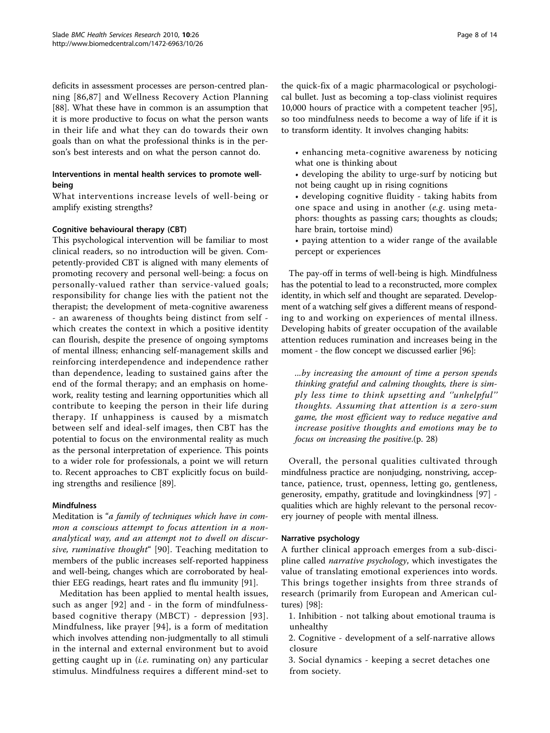deficits in assessment processes are person-centred planning [[86,87\]](#page-13-0) and Wellness Recovery Action Planning [[88\]](#page-13-0). What these have in common is an assumption that it is more productive to focus on what the person wants in their life and what they can do towards their own goals than on what the professional thinks is in the person's best interests and on what the person cannot do.

# Interventions in mental health services to promote wellbeing

What interventions increase levels of well-being or amplify existing strengths?

# Cognitive behavioural therapy (CBT)

This psychological intervention will be familiar to most clinical readers, so no introduction will be given. Competently-provided CBT is aligned with many elements of promoting recovery and personal well-being: a focus on personally-valued rather than service-valued goals; responsibility for change lies with the patient not the therapist; the development of meta-cognitive awareness - an awareness of thoughts being distinct from self which creates the context in which a positive identity can flourish, despite the presence of ongoing symptoms of mental illness; enhancing self-management skills and reinforcing interdependence and independence rather than dependence, leading to sustained gains after the end of the formal therapy; and an emphasis on homework, reality testing and learning opportunities which all contribute to keeping the person in their life during therapy. If unhappiness is caused by a mismatch between self and ideal-self images, then CBT has the potential to focus on the environmental reality as much as the personal interpretation of experience. This points to a wider role for professionals, a point we will return to. Recent approaches to CBT explicitly focus on building strengths and resilience [[89](#page-13-0)].

# Mindfulness

Meditation is "a family of techniques which have in common a conscious attempt to focus attention in a nonanalytical way, and an attempt not to dwell on discur-sive, ruminative thought" [[90\]](#page-13-0). Teaching meditation to members of the public increases self-reported happiness and well-being, changes which are corroborated by healthier EEG readings, heart rates and flu immunity [[91](#page-13-0)].

Meditation has been applied to mental health issues, such as anger [[92](#page-13-0)] and - in the form of mindfulnessbased cognitive therapy (MBCT) - depression [[93\]](#page-13-0). Mindfulness, like prayer [[94\]](#page-13-0), is a form of meditation which involves attending non-judgmentally to all stimuli in the internal and external environment but to avoid getting caught up in  $(i.e.$  ruminating on) any particular stimulus. Mindfulness requires a different mind-set to

the quick-fix of a magic pharmacological or psychological bullet. Just as becoming a top-class violinist requires 10,000 hours of practice with a competent teacher [\[95](#page-13-0)], so too mindfulness needs to become a way of life if it is to transform identity. It involves changing habits:

- enhancing meta-cognitive awareness by noticing what one is thinking about
- developing the ability to urge-surf by noticing but not being caught up in rising cognitions
- developing cognitive fluidity taking habits from one space and using in another (e.g. using metaphors: thoughts as passing cars; thoughts as clouds; hare brain, tortoise mind)
- paying attention to a wider range of the available percept or experiences

The pay-off in terms of well-being is high. Mindfulness has the potential to lead to a reconstructed, more complex identity, in which self and thought are separated. Development of a watching self gives a different means of responding to and working on experiences of mental illness. Developing habits of greater occupation of the available attention reduces rumination and increases being in the moment - the flow concept we discussed earlier [[96](#page-13-0)]:

...by increasing the amount of time a person spends thinking grateful and calming thoughts, there is simply less time to think upsetting and ''unhelpful'' thoughts. Assuming that attention is a zero-sum game, the most efficient way to reduce negative and increase positive thoughts and emotions may be to focus on increasing the positive.(p. 28)

Overall, the personal qualities cultivated through mindfulness practice are nonjudging, nonstriving, acceptance, patience, trust, openness, letting go, gentleness, generosity, empathy, gratitude and lovingkindness [[97](#page-13-0)] qualities which are highly relevant to the personal recovery journey of people with mental illness.

# Narrative psychology

A further clinical approach emerges from a sub-discipline called *narrative psychology*, which investigates the value of translating emotional experiences into words. This brings together insights from three strands of research (primarily from European and American cultures) [[98](#page-13-0)]:

1. Inhibition - not talking about emotional trauma is unhealthy

2. Cognitive - development of a self-narrative allows closure

3. Social dynamics - keeping a secret detaches one from society.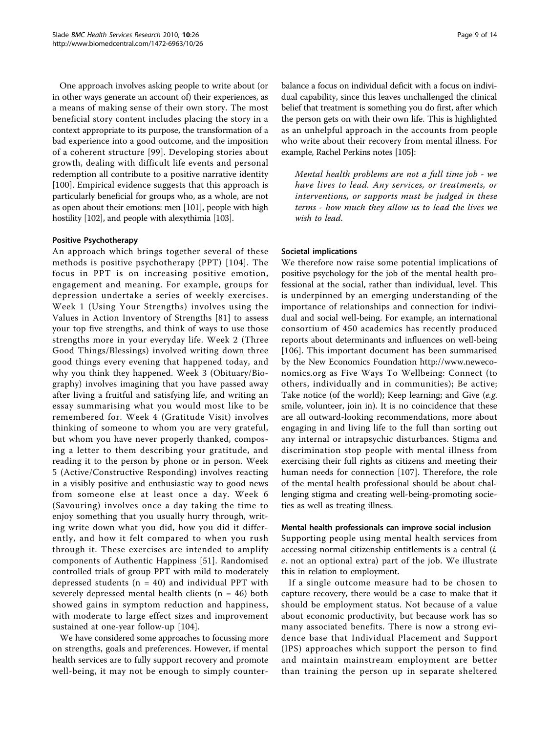One approach involves asking people to write about (or in other ways generate an account of) their experiences, as a means of making sense of their own story. The most beneficial story content includes placing the story in a context appropriate to its purpose, the transformation of a bad experience into a good outcome, and the imposition of a coherent structure [\[99\]](#page-13-0). Developing stories about growth, dealing with difficult life events and personal redemption all contribute to a positive narrative identity [[100](#page-13-0)]. Empirical evidence suggests that this approach is particularly beneficial for groups who, as a whole, are not as open about their emotions: men [[101\]](#page-13-0), people with high hostility [\[102](#page-13-0)], and people with alexythimia [[103](#page-13-0)].

#### Positive Psychotherapy

An approach which brings together several of these methods is positive psychotherapy (PPT) [[104\]](#page-13-0). The focus in PPT is on increasing positive emotion, engagement and meaning. For example, groups for depression undertake a series of weekly exercises. Week 1 (Using Your Strengths) involves using the Values in Action Inventory of Strengths [\[81\]](#page-13-0) to assess your top five strengths, and think of ways to use those strengths more in your everyday life. Week 2 (Three Good Things/Blessings) involved writing down three good things every evening that happened today, and why you think they happened. Week 3 (Obituary/Biography) involves imagining that you have passed away after living a fruitful and satisfying life, and writing an essay summarising what you would most like to be remembered for. Week 4 (Gratitude Visit) involves thinking of someone to whom you are very grateful, but whom you have never properly thanked, composing a letter to them describing your gratitude, and reading it to the person by phone or in person. Week 5 (Active/Constructive Responding) involves reacting in a visibly positive and enthusiastic way to good news from someone else at least once a day. Week 6 (Savouring) involves once a day taking the time to enjoy something that you usually hurry through, writing write down what you did, how you did it differently, and how it felt compared to when you rush through it. These exercises are intended to amplify components of Authentic Happiness [[51\]](#page-12-0). Randomised controlled trials of group PPT with mild to moderately depressed students ( $n = 40$ ) and individual PPT with severely depressed mental health clients ( $n = 46$ ) both showed gains in symptom reduction and happiness, with moderate to large effect sizes and improvement sustained at one-year follow-up [[104\]](#page-13-0).

We have considered some approaches to focussing more on strengths, goals and preferences. However, if mental health services are to fully support recovery and promote well-being, it may not be enough to simply counterbalance a focus on individual deficit with a focus on individual capability, since this leaves unchallenged the clinical belief that treatment is something you do first, after which the person gets on with their own life. This is highlighted as an unhelpful approach in the accounts from people who write about their recovery from mental illness. For example, Rachel Perkins notes [[105](#page-13-0)]:

Mental health problems are not a full time job - we have lives to lead. Any services, or treatments, or interventions, or supports must be judged in these terms - how much they allow us to lead the lives we wish to lead.

#### Societal implications

We therefore now raise some potential implications of positive psychology for the job of the mental health professional at the social, rather than individual, level. This is underpinned by an emerging understanding of the importance of relationships and connection for individual and social well-being. For example, an international consortium of 450 academics has recently produced reports about determinants and influences on well-being [[106](#page-13-0)]. This important document has been summarised by the New Economics Foundation [http://www.neweco](http://www.neweconomics.org)[nomics.org](http://www.neweconomics.org) as Five Ways To Wellbeing: Connect (to others, individually and in communities); Be active; Take notice (of the world); Keep learning; and Give (e.g. smile, volunteer, join in). It is no coincidence that these are all outward-looking recommendations, more about engaging in and living life to the full than sorting out any internal or intrapsychic disturbances. Stigma and discrimination stop people with mental illness from exercising their full rights as citizens and meeting their human needs for connection [[107](#page-13-0)]. Therefore, the role of the mental health professional should be about challenging stigma and creating well-being-promoting societies as well as treating illness.

#### Mental health professionals can improve social inclusion

Supporting people using mental health services from accessing normal citizenship entitlements is a central (i. e. not an optional extra) part of the job. We illustrate this in relation to employment.

If a single outcome measure had to be chosen to capture recovery, there would be a case to make that it should be employment status. Not because of a value about economic productivity, but because work has so many associated benefits. There is now a strong evidence base that Individual Placement and Support (IPS) approaches which support the person to find and maintain mainstream employment are better than training the person up in separate sheltered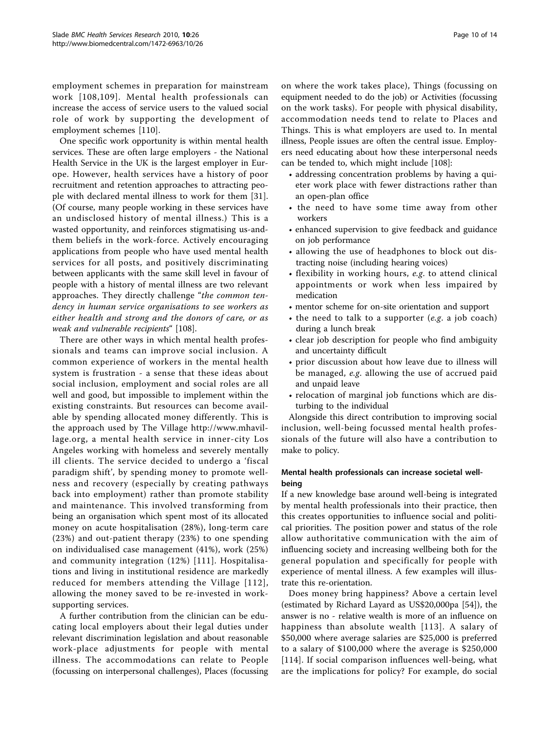employment schemes in preparation for mainstream work [[108](#page-13-0),[109\]](#page-13-0). Mental health professionals can increase the access of service users to the valued social role of work by supporting the development of employment schemes [\[110](#page-13-0)].

One specific work opportunity is within mental health services. These are often large employers - the National Health Service in the UK is the largest employer in Europe. However, health services have a history of poor recruitment and retention approaches to attracting people with declared mental illness to work for them [[31](#page-12-0)]. (Of course, many people working in these services have an undisclosed history of mental illness.) This is a wasted opportunity, and reinforces stigmatising us-andthem beliefs in the work-force. Actively encouraging applications from people who have used mental health services for all posts, and positively discriminating between applicants with the same skill level in favour of people with a history of mental illness are two relevant approaches. They directly challenge "the common tendency in human service organisations to see workers as either health and strong and the donors of care, or as weak and vulnerable recipients" [\[108\]](#page-13-0).

There are other ways in which mental health professionals and teams can improve social inclusion. A common experience of workers in the mental health system is frustration - a sense that these ideas about social inclusion, employment and social roles are all well and good, but impossible to implement within the existing constraints. But resources can become available by spending allocated money differently. This is the approach used by The Village [http://www.mhavil](http://www.mhavillage.org)[lage.org,](http://www.mhavillage.org) a mental health service in inner-city Los Angeles working with homeless and severely mentally ill clients. The service decided to undergo a 'fiscal paradigm shift', by spending money to promote wellness and recovery (especially by creating pathways back into employment) rather than promote stability and maintenance. This involved transforming from being an organisation which spent most of its allocated money on acute hospitalisation (28%), long-term care (23%) and out-patient therapy (23%) to one spending on individualised case management (41%), work (25%) and community integration (12%) [[111\]](#page-13-0). Hospitalisations and living in institutional residence are markedly reduced for members attending the Village [[112\]](#page-13-0), allowing the money saved to be re-invested in worksupporting services.

A further contribution from the clinician can be educating local employers about their legal duties under relevant discrimination legislation and about reasonable work-place adjustments for people with mental illness. The accommodations can relate to People (focussing on interpersonal challenges), Places (focussing

on where the work takes place), Things (focussing on equipment needed to do the job) or Activities (focussing on the work tasks). For people with physical disability, accommodation needs tend to relate to Places and Things. This is what employers are used to. In mental illness, People issues are often the central issue. Employers need educating about how these interpersonal needs can be tended to, which might include [\[108\]](#page-13-0):

- addressing concentration problems by having a quieter work place with fewer distractions rather than an open-plan office
- the need to have some time away from other workers
- enhanced supervision to give feedback and guidance on job performance
- allowing the use of headphones to block out distracting noise (including hearing voices)
- flexibility in working hours, e.g. to attend clinical appointments or work when less impaired by medication
- mentor scheme for on-site orientation and support
- $\bullet$  the need to talk to a supporter (e.g. a job coach) during a lunch break
- clear job description for people who find ambiguity and uncertainty difficult
- prior discussion about how leave due to illness will be managed, e.g. allowing the use of accrued paid and unpaid leave
- relocation of marginal job functions which are disturbing to the individual

Alongside this direct contribution to improving social inclusion, well-being focussed mental health professionals of the future will also have a contribution to make to policy.

# Mental health professionals can increase societal wellbeing

If a new knowledge base around well-being is integrated by mental health professionals into their practice, then this creates opportunities to influence social and political priorities. The position power and status of the role allow authoritative communication with the aim of influencing society and increasing wellbeing both for the general population and specifically for people with experience of mental illness. A few examples will illustrate this re-orientation.

Does money bring happiness? Above a certain level (estimated by Richard Layard as US\$20,000pa [[54](#page-12-0)]), the answer is no - relative wealth is more of an influence on happiness than absolute wealth [[113\]](#page-13-0). A salary of \$50,000 where average salaries are \$25,000 is preferred to a salary of \$100,000 where the average is \$250,000 [[114](#page-13-0)]. If social comparison influences well-being, what are the implications for policy? For example, do social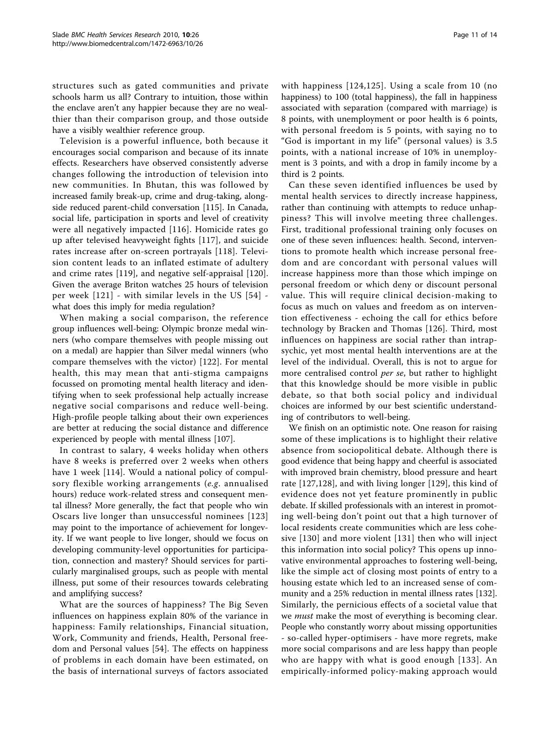structures such as gated communities and private schools harm us all? Contrary to intuition, those within the enclave aren't any happier because they are no wealthier than their comparison group, and those outside have a visibly wealthier reference group.

Television is a powerful influence, both because it encourages social comparison and because of its innate effects. Researchers have observed consistently adverse changes following the introduction of television into new communities. In Bhutan, this was followed by increased family break-up, crime and drug-taking, alongside reduced parent-child conversation [[115\]](#page-13-0). In Canada, social life, participation in sports and level of creativity were all negatively impacted [[116\]](#page-13-0). Homicide rates go up after televised heavyweight fights [\[117\]](#page-13-0), and suicide rates increase after on-screen portrayals [\[118\]](#page-13-0). Television content leads to an inflated estimate of adultery and crime rates [[119\]](#page-13-0), and negative self-appraisal [\[120](#page-13-0)]. Given the average Briton watches 25 hours of television per week [[121\]](#page-13-0) - with similar levels in the US [[54\]](#page-12-0) what does this imply for media regulation?

When making a social comparison, the reference group influences well-being: Olympic bronze medal winners (who compare themselves with people missing out on a medal) are happier than Silver medal winners (who compare themselves with the victor) [[122\]](#page-13-0). For mental health, this may mean that anti-stigma campaigns focussed on promoting mental health literacy and identifying when to seek professional help actually increase negative social comparisons and reduce well-being. High-profile people talking about their own experiences are better at reducing the social distance and difference experienced by people with mental illness [[107\]](#page-13-0).

In contrast to salary, 4 weeks holiday when others have 8 weeks is preferred over 2 weeks when others have 1 week [[114](#page-13-0)]. Would a national policy of compulsory flexible working arrangements (e.g. annualised hours) reduce work-related stress and consequent mental illness? More generally, the fact that people who win Oscars live longer than unsuccessful nominees [[123](#page-13-0)] may point to the importance of achievement for longevity. If we want people to live longer, should we focus on developing community-level opportunities for participation, connection and mastery? Should services for particularly marginalised groups, such as people with mental illness, put some of their resources towards celebrating and amplifying success?

What are the sources of happiness? The Big Seven influences on happiness explain 80% of the variance in happiness: Family relationships, Financial situation, Work, Community and friends, Health, Personal freedom and Personal values [[54\]](#page-12-0). The effects on happiness of problems in each domain have been estimated, on the basis of international surveys of factors associated with happiness [[124](#page-13-0),[125\]](#page-13-0). Using a scale from 10 (no happiness) to 100 (total happiness), the fall in happiness associated with separation (compared with marriage) is 8 points, with unemployment or poor health is 6 points, with personal freedom is 5 points, with saying no to "God is important in my life" (personal values) is 3.5 points, with a national increase of 10% in unemployment is 3 points, and with a drop in family income by a third is 2 points.

Can these seven identified influences be used by mental health services to directly increase happiness, rather than continuing with attempts to reduce unhappiness? This will involve meeting three challenges. First, traditional professional training only focuses on one of these seven influences: health. Second, interventions to promote health which increase personal freedom and are concordant with personal values will increase happiness more than those which impinge on personal freedom or which deny or discount personal value. This will require clinical decision-making to focus as much on values and freedom as on intervention effectiveness - echoing the call for ethics before technology by Bracken and Thomas [\[126](#page-13-0)]. Third, most influences on happiness are social rather than intrapsychic, yet most mental health interventions are at the level of the individual. Overall, this is not to argue for more centralised control *per se*, but rather to highlight that this knowledge should be more visible in public debate, so that both social policy and individual choices are informed by our best scientific understanding of contributors to well-being.

We finish on an optimistic note. One reason for raising some of these implications is to highlight their relative absence from sociopolitical debate. Although there is good evidence that being happy and cheerful is associated with improved brain chemistry, blood pressure and heart rate [[127](#page-13-0),[128\]](#page-13-0), and with living longer [[129](#page-13-0)], this kind of evidence does not yet feature prominently in public debate. If skilled professionals with an interest in promoting well-being don't point out that a high turnover of local residents create communities which are less cohesive [[130](#page-13-0)] and more violent [\[131\]](#page-13-0) then who will inject this information into social policy? This opens up innovative environmental approaches to fostering well-being, like the simple act of closing most points of entry to a housing estate which led to an increased sense of community and a 25% reduction in mental illness rates [[132](#page-13-0)]. Similarly, the pernicious effects of a societal value that we *must* make the most of everything is becoming clear. People who constantly worry about missing opportunities - so-called hyper-optimisers - have more regrets, make more social comparisons and are less happy than people who are happy with what is good enough [[133\]](#page-13-0). An empirically-informed policy-making approach would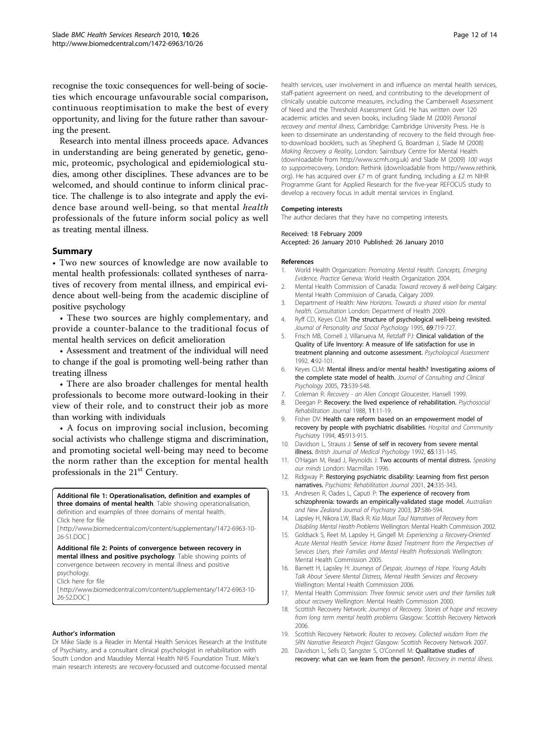<span id="page-11-0"></span>recognise the toxic consequences for well-being of societies which encourage unfavourable social comparison, continuous reoptimisation to make the best of every opportunity, and living for the future rather than savouring the present.

Research into mental illness proceeds apace. Advances in understanding are being generated by genetic, genomic, proteomic, psychological and epidemiological studies, among other disciplines. These advances are to be welcomed, and should continue to inform clinical practice. The challenge is to also integrate and apply the evidence base around well-being, so that mental health professionals of the future inform social policy as well as treating mental illness.

#### Summary

• Two new sources of knowledge are now available to mental health professionals: collated syntheses of narratives of recovery from mental illness, and empirical evidence about well-being from the academic discipline of positive psychology

• These two sources are highly complementary, and provide a counter-balance to the traditional focus of mental health services on deficit amelioration

• Assessment and treatment of the individual will need to change if the goal is promoting well-being rather than treating illness

• There are also broader challenges for mental health professionals to become more outward-looking in their view of their role, and to construct their job as more than working with individuals

• A focus on improving social inclusion, becoming social activists who challenge stigma and discrimination, and promoting societal well-being may need to become the norm rather than the exception for mental health professionals in the 21<sup>st</sup> Century.

Additional file 1: Operationalisation, definition and examples of three domains of mental health. Table showing operationalisation, definition and examples of three domains of mental health.

Click here for file

[ http://www.biomedcentral.com/content/supplementary/1472-6963-10- 26-S1.DOC ]

#### Additional file 2: Points of convergence between recovery in mental illness and positive psychology. Table showing points of convergence between recovery in mental illness and positive psychology.

Click here for file

[ http://www.biomedcentral.com/content/supplementary/1472-6963-10- 26-S2.DOC ]

#### Author's information

Dr Mike Slade is a Reader in Mental Health Services Research at the Institute of Psychiatry, and a consultant clinical psychologist in rehabilitation with South London and Maudsley Mental Health NHS Foundation Trust. Mike's main research interests are recovery-focussed and outcome-focussed mental

health services, user involvement in and influence on mental health services, staff-patient agreement on need, and contributing to the development of clinically useable outcome measures, including the Camberwell Assessment of Need and the Threshold Assessment Grid. He has written over 120 academic articles and seven books, including Slade M (2009) Personal recovery and mental illness, Cambridge: Cambridge University Press. He is keen to disseminate an understanding of recovery to the field through freeto-download booklets, such as Shepherd G, Boardman J, Slade M (2008) Making Recovery a Reality, London: Sainsbury Centre for Mental Health (downloadable from [http://www.scmh.org.uk\)](World Health OrganizationPromoting Mental Health. Concepts, Emerging Evidence, PracticeGeneva: World Health Organization2004Mental Health Commission of CanadaToward recovery & well-beingCalgary: Mental Health Commission of Canada, Calgary2009Department of HealthNew Horizons. Towards a shared vision for mental health. ConsultationLondon: Department of Health2009The structure of psychological well-being revisitedRyffCDKeyesCLMJournal of Personality and Social Psychology19956971972710.1037/0022-3514.69.4.7197473027Clinical validation of the Quality of Life Inventory: A measure of life satisfaction for use in treatment planning and outcome assessmentFrischMBCornellJVillanuevaMRetzlaffPJPsychological Assessment199249210110.1037/1040-3590.4.1.92Mental illness and/or mental health? Investigating axioms of the complete state model of healthKeyesCLMJournal of Consulting and Clinical Psychology20057353954810.1037/0022-006X.73.3.53915982151ColemanRRecovery - an Alien ConceptGloucester, Hansell1999Recovery: the lived experience of rehabilitationDeeganPPsychosocial Rehabilitation Journal1988111119Health care reform based on an empowerment model of recovery by people with psychiatric disabilitiesFisherDVHospital and Community Psychiatry1994459139157989024Sense of self in recovery from severe mental illnessDavidsonLStraussJBritish Journal of Medical Psychology1992651311451633118Two accounts of mental distressOHaganMReadJReynoldsJSpeaking our mindsLondon: Macmillan1996Restorying psychiatric disability: Learning from first person narrativesRidgwayPPsychiatric Rehabilitation Journal20012433534311406984The experience of recovery from schizophrenia: towards an empirically-validated stage modelAndresenROadesLCaputiPAustralian and New Zealand Journal of Psychiatry20033758659410.1046/j.1440-1614.2003.01234.x14511087LapsleyHNikoraLWBlackRKia Mauri Tau! Narratives of Recovery from Disabling Mental Health ProblemsWellington: Mental Health Commission2002GoldsackSReetMLapsleyHGingellMExperiencing a Recovery-Oriented Acute Mental Health Service: Home Based Treatment from the Perspectives of Services Users, their Families and Mental Health ProfessionalsWellington: Mental Health Commission2005BarnettHLapsleyHJourneys of Despair, Journeys of Hope. Young Adults Talk About Severe Mental Distress, Mental Health Services and RecoveryWellington: Mental Health Commission2006Mental Health CommissionThree forensic service users and their families talk about recoveryWellington: Mental Health Commission2000Scottish Recovery NetworkJourneys of Recovery. Stories of hope and recovery from long term mental health problemsGlasgow: Scottish Recovery Network2006Scottish Recovery NetworkRoutes to recovery. Collected wisdom from the SRN Narrative Research ProjectGlasgow: Scottish Recovery Network2007Qualitative studies of recovery: what can we learn from the person?DavidsonLSellsDSangsterSOConnellMRecovery in mental illness. Broadening our Understanding of WellnessWashington DC: American Psychological AssociationRalph RO, Corrigan PW2005147170full_textSpaniolLKoehlerMBostonMAedsThe experience of recoveryCenter for Psychiatric Rehabilitation1994McIntoshZFrom Goldfish Bowl to Ocean: personal accounts of mental illness and beyondLondon: Chipmunkapublishing2005BarkerPJDavidsonBCampbellPedsFrom the Ashes of ExperienceLondon: Whurr Publications1999The process of recovery from schizophreniaSpaniolLWewiorskiNGagneCAnthonyWInternational Review of Psychiatry20021432733610.1080/0954026021000016978RecoveryRalphROPsychiatric Rehabilitation Skills20004480517SladeMPersonal recovery and mental illness. A guide for mental health professionalsCambridge: Cambridge University Press2009Remission and Recovery in Schizophrenia: Practitioner and Patient PerspectivesDavidsonLSchmutteTDinzeoTAndres-HymanRSchizophrenia Bulletin2008345810.1093/schbul/sbm122263237917984297Recovering from Illness or Recovering your Life? Implications of Clinical versus Social Models of Recovery from Mental Health Problems for Employment Support ServicesSeckerJMembreyHGroveBSeebohmPDisability & Society20021740341810.1080/09687590220140340Scientific and consumer models of recovery in schizophrenia: concordance, contrasts, and implicationsBellackASchizophrenia Bulletin20063243244210.1093/schbul/sbj044263224116461575Recovery in PsychiatrySchrankBSladeMPsychiatr Bull20073132132510.1192/pb.bp.106.013425PerkinsRRepperJSocial Inclusion and RecoveryLondon: Bailli�re Tindall2003Recovery from mental illness: the guiding vision of the mental health system in the 1990sAnthonyWAInnovations and Research199321724AntonovskyAHealth, Stress and CopingSan Francisco: Jossey-Bass Publishers1979RogersCClient-centered Therapy: Its Current Practice, Implications and TheoryLondon: Constable1951MaslowAMotivation and PersonalityNew York: Harper and Row1954Positive psychology: An introductionSeligmanMCsikszentmihalyiMAmerican Psychologist20005551410.1037/0003-066X.55.1.511392865SnyderCRLopezJSHandbook of positive psychologyNew York: Oxford University Press2002KeyesCLMHaidtJedsFlourishing: Positive psychology and the life well livedWashington DC: American Psychological Association2003full_textPetersonCA primer in positive psychologyNew York: Oxford University Press2006ComptonWAn introduction to positive psychologyBelmont CA: Thomson-Wadsworth2005LinleyPAJosephSPositive psychology in practiceHoboken NJ: John Wiley2004Toward a Science of Mental healthKeyesCLMLopezSJHandbook of Positive PsychologyNew York: Oxford University PressSnyder CR, Lopez SJ20024559Promoting and Protecting Mental Health as Flourishing. A Complementary Strategy for Improving National Mental HealthKeyesCLMAmerican Psychologist2007629510810.1037/0003-066X.62.2.9517324035Social well-beingKeyesCLMSocial Psychology Quarterly19986112114010.2307/2787065Mental Health in Adolescence: Is Americas Youth Flourishing?KeyesCLMAmerican Journal of Orthopsychiatry20067639540210.1037/0002-9432.76.3.39516981819The effectiveness of psychotherapy: The Consumer Reports studySeligmanMAmerican Psychologist19955096597410.1037/0003-066X.50.12.9658561380Play, Pleasure and Other Positive Life Events: Non-Specific Factors in Recovery from Mental Illness?DavidsonLShaharGLawlessMSSellsDTondoraJPsychiatry20066915116316822194Depressive symptoms erode self-esteem in severe mental illness: A three-wave, cross-lagged studyShaharGDavidsonLJournal of Consulting and Clinical Psychology20037189090010.1037/0022-006X.71.5.89014516237Self-determination among mental health consumers/survivors: Using lessons from the past to guide the futureCookJAJonikasJJournal of Disability Policy Studies200213879510.1177/10442073020130020401Mental Health CommissionRecovery Competencies. Teaching Resource KitWellington: Mental Health Commission2001SeligmanMAuthentic happiness: Using the new positive psychology to realize your potential for lasting fulfillmentNew York: Free Press2002Positive Psychology and Nussbaums Capabilities ApproachJayawickremeJPawelskiJSeligmanMConference presentation: Subjective Measures of Well-Being and the Science of Happiness: Historical origins and philosophical foundationsBirmingham AL2008The Concept of FlowNakamuraJCsikszentmihalyiMHandbook of Positive PsychologyNew York: Oxford University Press200289105LayardRHappiness. Lessons from a new scienceLondon: Penguin2005SheldonKMWilliamsGJoinerTSelf-Determination Theory in the Clinic: Motivating Physical and Mental HealthNew Haven: Yale University Press2003Personal goals and psychological growth: Testing an intervention to enhance goal attainment and personality integrationSheldonKMKasserTSmithKShareTJournal of Personality20027053110.1111/1467-6494.0017611908535Effectiveness of a Collaborative Recovery Training Program in Australia in Promoting Positive Views About RecoveryCroweTDeaneFOadesLGCaputiPMorlandKGPsychiatric Services2006571497150010.1176/appi.ps.57.10.149717035572PascalBPascals Pens�esCharleston, SC: BiblioBazaar, LLC2007An analysis of the Definitions and Elements of Recovery: A Review of the LiteratureOnkenSJCraigCMRidgwayPRalphROCookJAPsychiatric Rehabilitation Journal20073192210.2975/31.1.2007.9.2217694711PargamentKISpiritually Integrated PsychotherapyNew York: Guilford2007KleinmanAWhat really matters: living a moral life amidst uncertainty and dangerOxford: Oxford University Press2006BellahRMadsenRSullivanWMSwidlerATiptonSHabits of the Heart: Individualism and Commitment in American LifeCalifornia: University of California Press32007FallotRSpirituality and Religion in Recovery from Mental IllnessSan Francisco: Jossey-Bass1998Supported Spirituality: A New Frontier in the Recovery-Oriented Mental Health SystemRussinovaZBlanchAPsychiatric Rehabilitation Journal20073024724910.2975/30.4.2007.247.24917458448Recovery and positive psychology: Parallel themes and potential synergiesResnickSGRosenheckRAPsychiatric Services20065712012210.1176/appi.ps.57.1.12016399972Footsteps on the road to a positive psychologyGilhamJESeligmanMBehaviour Research and Therapy199937suppl 1S163S17310402701Mental Health CommissionA Vision for a Recovery Model in Irish Mental Health ServicesDublin: Mental Health Commission2005Substance Abuse and Mental Health Services AdministrationNational Consensus Conference on Mental Health Recovery and Systems TransformationRockville, MD: Department of Health and Human Services2005National Institute for Mental Health in EnglandEmerging Best Practices in Mental Health recoveryLondon: NIMHE2004TondoraJDavidsonLPractice Guidelines for Recovery-Oriented Behavioral Health CareConnecticut: Connecticut Department of Mental Health and Addiction Services2006Structural properties of personal meaning systems: A new approach to measuring meaning of lifeP�hlmannKGrussBJoraschkyPJournal of Positive Psychology2006110911710.1080/17439760600566008The science of positive psychologyMorganJSThe Psychologist2007682687OngADvan DulmenMHMOxford Handbook of Methods in Positive PsychologyOxford: Oxford University Press2006Stopping the Madness. Positive Psychology and the Deconstruction of the Illness Ideology and the DSMMadduxJEHandbook of Positive PsychologyNew York: OxfordSnyder CR, Lopez JS20021324Recovery, Psychosis and Psychiatry: research is better than rhetoricSladeMHaywardMActa Psychiatrica Scandinavica2007116818310.1111/j.1600-0447.2007.01047.x17650268Implications of evidence-based practice for mental health nursingFisherJEHappellBInternational Journal of Mental Health Nursing20091817918510.1111/j.1447-0349.2009.00607.x19490228An empirical conceptualization of the recovery orientationResnickSGFontanaALehmanARosenheckRASchizophrenia Research20057511912810.1016/j.schres.2004.05.00915820330The contribution of mental health services to recoverySladeMJournal of Mental Health20091836737110.3109/09638230903191256Positive Psychology and the Development of Well-beingHenryJWell-being: individual, community and societal perspectivesBasingstoke: Palgrave MacmillanHaworth J, Hart G20072540Widening the Diagnostic Focus. A Case for Including Human Strengths and Environmental ResourcesWrightBALopezSJHandbook of Positive PsychologyNew York: Oxford University PressSnyder CR, Lopez SJ20022644PetersonCSeligmanMCharacter strengths and virtuesNew York: Oxford University Press2004WatsonDClarkLAThe PANAS-X: Manual for the Positive and Negative Affect Schedule - Expanded FormIowa City: University of Iowa1994The clinicians illusionCohenPCohenJArchives of General Psychiatry198441117811826334503SladeM100 ways to support recoveryLondon: Rethink2009RappCGoschaRJThe Strengths Model: Case Management With People With Psychiatric DisabilitiesNew York: Oxford University Press22006TondoraJPocklingtonSOsherDDavidsonLImplementation of person-centered care and planning: From policy to practice to evaluationWashington DC: Substance Abuse and Mental Health Services Administration2005AdamsNGriederDMTreatment Planning for Person-Centered CareBurlington, MA: Elsevier2005CopelandMEWellness Recovery Action PlanBrattleboro: VT: Peach Press1999KuykenWPadeskyCDudleyRCollaborative Case Conceptualization. Working Effectively with Clients in Cognitive-Behavioral TherapyNew York: Guilford Press2009ShapiroDHMeditation: Self-regulation strategy and altered states of consciousnessNew York: Aldine1980Alterations in brain and immune function produced by mindfulness meditationDavidsonRKabat-ZinnJSchumacherJRosenkranzMMullerDSantorelliSUrbanowskiFHarringtonABonusKSheridanJPsychosomatic Medicine20036556457010.1097/01.PSY.0000077505.67574.E312883106HanhNhatThichAnger: Buddhist Wisdom for Cooling the FlamesLondon: Rider2001SegalZTeasdaleJWilliamsMMindfulness-Based Cognitive Therapy for DepressionNew York: Guilford Press2002HoffmanEHHoffmanCDStaying Focused in the Age of Distraction: How Mindfulness, Prayer & Meditation Can Help you Pay AttentionOakland CA: New Harbinger Publications2006Increased cotrical representation of the fingers of the left hand in string playersElbertTPantevCWienbruchCRockstrohBTaubEScience199527030530710.1126/science.270.5234.3057569982Extending the influence of positive psychology interventions into health care settings: Lessons from self-efficacy and forgivenessHarrisAThoresenCEJournal of Positive Psychology20061273610.1080/17439760500380930Meditation and Positive PsychologyShapiroSLSchwartzGERSanterreCHandbook of positive psychologyNew York: Oxford University PressSnyder CR, Lopez SJ2002632645Sharing Ones Story. On the Benefits of Writing or Talking About Emotional ExperienceNiederhofferKGPennebakerJWSnyderCRLopezSJHandbook of positive psychologyNew York: Oxford University Press2002573583The Pursuit of Meaningfulness in LifeBaumeisterRFVohsKDHandbook of positive psychologyNew York: Oxford University PressSnyder CR, Lopez SJ2002608618Narrative identity and eudaimonic well-beingBauerJJMcAdamsDPPalsJLJournal of Happiness Studies200898110410.1007/s10902-006-9021-6Written emotional expression: Effect sizes, outcome types, and moderating variablesSmythJMJournal of Consulting and Clinical Psychology19986617418410.1037/0022-006X.66.1.1749489272Cynical hostility and cardiovascular reactivity during self-disclosureChristensenAJSmithTWPsychosomatic Medicine1993551932028475234Expressive writing and the role of alexithymia as a dispositional deficit in self-disclosure and psychological healthPaezDVelascoCGonzalezJLJournal of Personality and Social Psychology19997763064110.1037/0022-3514.77.3.63010510512Positive PsychotherapySeligmanMRashidTParksACAmerican Psychologist20066177478810.1037/0003-066X.61.8.77417115810I have a vision...PerkinsROpen Mind20001046Foresight Mental Capital and Wellbeing ProjectMental Capital and Wellbeing: Making the most of ourselves in the 21st century. Final Project ReportLondon: Government Office for Science2008ThornicroftGShunned: Discrimination against People with Mental IllnessOxford: Oxford University Press2005ThornicroftGActions speak louder... Tackling discrimination against people with mental illnessLondon: Mental Health Foundation2006Vocational rehabilitation in schizophrenia and other psychotic disorders: a literature review and meta-analysis of randomized controlled trialsTwamleyEWJesteDVLehmanAFJournal of Nervous and Mental Disease200319151552310.1097/01.nmd.0000082213.42509.6912972854BeckerDRDrakeREA Working Life for People with Severe Mental IllnessOxford: Oxford University Press2003Lewin-VHIIMeiselJChandlerDThe Integrated Service Agency Model: A Summary Report to the California Department of Mental HealthCalifornia: California Department of Mental Health1995Client Outcomes in a Three-Year Controlled Study of an Integrated Service Agency ModelChandlerDMeiselJHuTMcGowenMMadisonKPsychiatric Services199647133713439117472The role of income aspirations in individual happinessStutzerAJournal of Economic Behaviour and Organisation2003548910910.1016/j.jebo.2003.04.003Is more always better? A survey on positional concernsSolnickSHemenwayDJournal of Economic Behaviour and Organisation19983737338310.1016/S0167-2681(98)00089-4Fast forward into troubleScott-ClarkCLevyAGuardian Weekend (June 14)2003WilliamsTMedsA Natural Experiment in Three CommunitiesNew York: Academic Press1986The impact of mass media violence on US homicidesPhillipsDAmerican Sociological Review19834856056810.2307/2117722Suicide and the mediaGouldMAnnals of the New York Academy of Sciences200193220022111411187Television and the family: The cultivation perspectiveSignorielliNMorganMTelevision and the American FamilyMalwah, NJ: Lawrence Erlbaum AssociatedBryant J, Bryant JA2001333351Effects of physical attractiveness on affect and perceptual judgementsKenrickDMontelloDGutierresSTrostMPersonality and Social Psychology Bulletin19931919519910.1177/0146167293192008RutterMSmithDJedsPsychosocial Disorders in Young People: Time Trends and Their CausesChichester: John Wiley1995When less is more: Counterfactual thinking and satisfaction among Olympic medalistsMedvecVMadeySGilovichTJournal of Personality and Social Psychology19956960361010.1037/0022-3514.69.4.6037473022Survival in Academy Award-winning actors and actressesRedelmeierDSinghSAnnals of Internal Medicine200113495596211352696Hows life? Combining individual and national variables to explain subjective well-beingHelliwellJEconomic Modelling20032033136010.1016/S0264-9993(02)00057-3The macroeconomics of happinessDiTellaRReview of Economics and Statistics20038580992710.1162/003465303772815745BrackenPThomasPPostpsychiatry. Mental health in a postmodern worldOxford: Oxford University Press2005The role of emotion on pathways to positive healthRyffCSingerBDavidsonRSchererKGoldsmithHHandbook of Affective ScienceNew York: Oxford University PressDavidson R, Scherer K, Goldsmith H2003Emotion, plasticity, context and regulationDavidsonRJacksonDKalinNPsychological Bulletin200012689090610.1037/0033-2909.126.6.89011107881Positive emotions in early life and longevity: Findings from the nun studyDannerDSnowdenDFriesenWJournal of Personality and Social Psychology20018080481310.1037/0022-3514.80.5.80411374751Incentives and social capital: Are homeowners better citizens?GlaeserEDiPasqualeDJournal of Urban Economics19994535438410.1006/juec.1998.2098Neighborhoods and violent crime: A multilevel study of collective efficacySampsonRRaudenbushSEarlsFScience199727791892410.1126/science.277.5328.9189252316HalpernDMental Health and the Built EnvironmentLondon: Taylor & Francis1995Maximising versus satisficing: Happiness is a matter of choiceSchwartzBWardALyubomirskySMonterossoJWhiteKLehmanDJournal of Personality and Social Psychology2002831178119710.1037/0022-3514.83.5.117812416921) and Slade M (2009) 100 ways to supportrecovery, London: Rethink (downloadable from [http://www.rethink.](World Health OrganizationPromoting Mental Health. Concepts, Emerging Evidence, PracticeGeneva: World Health Organization2004Mental Health Commission of CanadaToward recovery & well-beingCalgary: Mental Health Commission of Canada, Calgary2009Department of HealthNew Horizons. Towards a shared vision for mental health. ConsultationLondon: Department of Health2009The structure of psychological well-being revisitedRyffCDKeyesCLMJournal of Personality and Social Psychology19956971972710.1037/0022-3514.69.4.7197473027Clinical validation of the Quality of Life Inventory: A measure of life satisfaction for use in treatment planning and outcome assessmentFrischMBCornellJVillanuevaMRetzlaffPJPsychological Assessment199249210110.1037/1040-3590.4.1.92Mental illness and/or mental health? Investigating axioms of the complete state model of healthKeyesCLMJournal of Consulting and Clinical Psychology20057353954810.1037/0022-006X.73.3.53915982151ColemanRRecovery - an Alien ConceptGloucester, Hansell1999Recovery: the lived experience of rehabilitationDeeganPPsychosocial Rehabilitation Journal1988111119Health care reform based on an empowerment model of recovery by people with psychiatric disabilitiesFisherDVHospital and Community Psychiatry1994459139157989024Sense of self in recovery from severe mental illnessDavidsonLStraussJBritish Journal of Medical Psychology1992651311451633118Two accounts of mental distressOHaganMReadJReynoldsJSpeaking our mindsLondon: Macmillan1996Restorying psychiatric disability: Learning from first person narrativesRidgwayPPsychiatric Rehabilitation Journal20012433534311406984The experience of recovery from schizophrenia: towards an empirically-validated stage modelAndresenROadesLCaputiPAustralian and New Zealand Journal of Psychiatry20033758659410.1046/j.1440-1614.2003.01234.x14511087LapsleyHNikoraLWBlackRKia Mauri Tau! Narratives of Recovery from Disabling Mental Health ProblemsWellington: Mental Health Commission2002GoldsackSReetMLapsleyHGingellMExperiencing a Recovery-Oriented Acute Mental Health Service: Home Based Treatment from the Perspectives of Services Users, their Families and Mental Health ProfessionalsWellington: Mental Health Commission2005BarnettHLapsleyHJourneys of Despair, Journeys of Hope. Young Adults Talk About Severe Mental Distress, Mental Health Services and RecoveryWellington: Mental Health Commission2006Mental Health CommissionThree forensic service users and their families talk about recoveryWellington: Mental Health Commission2000Scottish Recovery NetworkJourneys of Recovery. Stories of hope and recovery from long term mental health problemsGlasgow: Scottish Recovery Network2006Scottish Recovery NetworkRoutes to recovery. Collected wisdom from the SRN Narrative Research ProjectGlasgow: Scottish Recovery Network2007Qualitative studies of recovery: what can we learn from the person?DavidsonLSellsDSangsterSOConnellMRecovery in mental illness. Broadening our Understanding of WellnessWashington DC: American Psychological AssociationRalph RO, Corrigan PW2005147170full_textSpaniolLKoehlerMBostonMAedsThe experience of recoveryCenter for Psychiatric Rehabilitation1994McIntoshZFrom Goldfish Bowl to Ocean: personal accounts of mental illness and beyondLondon: Chipmunkapublishing2005BarkerPJDavidsonBCampbellPedsFrom the Ashes of ExperienceLondon: Whurr Publications1999The process of recovery from schizophreniaSpaniolLWewiorskiNGagneCAnthonyWInternational Review of Psychiatry20021432733610.1080/0954026021000016978RecoveryRalphROPsychiatric Rehabilitation Skills20004480517SladeMPersonal recovery and mental illness. A guide for mental health professionalsCambridge: Cambridge University Press2009Remission and Recovery in Schizophrenia: Practitioner and Patient PerspectivesDavidsonLSchmutteTDinzeoTAndres-HymanRSchizophrenia Bulletin2008345810.1093/schbul/sbm122263237917984297Recovering from Illness or Recovering your Life? Implications of Clinical versus Social Models of Recovery from Mental Health Problems for Employment Support ServicesSeckerJMembreyHGroveBSeebohmPDisability & Society20021740341810.1080/09687590220140340Scientific and consumer models of recovery in schizophrenia: concordance, contrasts, and implicationsBellackASchizophrenia Bulletin20063243244210.1093/schbul/sbj044263224116461575Recovery in PsychiatrySchrankBSladeMPsychiatr Bull20073132132510.1192/pb.bp.106.013425PerkinsRRepperJSocial Inclusion and RecoveryLondon: Bailli�re Tindall2003Recovery from mental illness: the guiding vision of the mental health system in the 1990sAnthonyWAInnovations and Research199321724AntonovskyAHealth, Stress and CopingSan Francisco: Jossey-Bass Publishers1979RogersCClient-centered Therapy: Its Current Practice, Implications and TheoryLondon: Constable1951MaslowAMotivation and PersonalityNew York: Harper and Row1954Positive psychology: An introductionSeligmanMCsikszentmihalyiMAmerican Psychologist20005551410.1037/0003-066X.55.1.511392865SnyderCRLopezJSHandbook of positive psychologyNew York: Oxford University Press2002KeyesCLMHaidtJedsFlourishing: Positive psychology and the life well livedWashington DC: American Psychological Association2003full_textPetersonCA primer in positive psychologyNew York: Oxford University Press2006ComptonWAn introduction to positive psychologyBelmont CA: Thomson-Wadsworth2005LinleyPAJosephSPositive psychology in practiceHoboken NJ: John Wiley2004Toward a Science of Mental healthKeyesCLMLopezSJHandbook of Positive PsychologyNew York: Oxford University PressSnyder CR, Lopez SJ20024559Promoting and Protecting Mental Health as Flourishing. A Complementary Strategy for Improving National Mental HealthKeyesCLMAmerican Psychologist2007629510810.1037/0003-066X.62.2.9517324035Social well-beingKeyesCLMSocial Psychology Quarterly19986112114010.2307/2787065Mental Health in Adolescence: Is Americas Youth Flourishing?KeyesCLMAmerican Journal of Orthopsychiatry20067639540210.1037/0002-9432.76.3.39516981819The effectiveness of psychotherapy: The Consumer Reports studySeligmanMAmerican Psychologist19955096597410.1037/0003-066X.50.12.9658561380Play, Pleasure and Other Positive Life Events: Non-Specific Factors in Recovery from Mental Illness?DavidsonLShaharGLawlessMSSellsDTondoraJPsychiatry20066915116316822194Depressive symptoms erode self-esteem in severe mental illness: A three-wave, cross-lagged studyShaharGDavidsonLJournal of Consulting and Clinical Psychology20037189090010.1037/0022-006X.71.5.89014516237Self-determination among mental health consumers/survivors: Using lessons from the past to guide the futureCookJAJonikasJJournal of Disability Policy Studies200213879510.1177/10442073020130020401Mental Health CommissionRecovery Competencies. Teaching Resource KitWellington: Mental Health Commission2001SeligmanMAuthentic happiness: Using the new positive psychology to realize your potential for lasting fulfillmentNew York: Free Press2002Positive Psychology and Nussbaums Capabilities ApproachJayawickremeJPawelskiJSeligmanMConference presentation: Subjective Measures of Well-Being and the Science of Happiness: Historical origins and philosophical foundationsBirmingham AL2008The Concept of FlowNakamuraJCsikszentmihalyiMHandbook of Positive PsychologyNew York: Oxford University Press200289105LayardRHappiness. Lessons from a new scienceLondon: Penguin2005SheldonKMWilliamsGJoinerTSelf-Determination Theory in the Clinic: Motivating Physical and Mental HealthNew Haven: Yale University Press2003Personal goals and psychological growth: Testing an intervention to enhance goal attainment and personality integrationSheldonKMKasserTSmithKShareTJournal of Personality20027053110.1111/1467-6494.0017611908535Effectiveness of a Collaborative Recovery Training Program in Australia in Promoting Positive Views About RecoveryCroweTDeaneFOadesLGCaputiPMorlandKGPsychiatric Services2006571497150010.1176/appi.ps.57.10.149717035572PascalBPascals Pens�esCharleston, SC: BiblioBazaar, LLC2007An analysis of the Definitions and Elements of Recovery: A Review of the LiteratureOnkenSJCraigCMRidgwayPRalphROCookJAPsychiatric Rehabilitation Journal20073192210.2975/31.1.2007.9.2217694711PargamentKISpiritually Integrated PsychotherapyNew York: Guilford2007KleinmanAWhat really matters: living a moral life amidst uncertainty and dangerOxford: Oxford University Press2006BellahRMadsenRSullivanWMSwidlerATiptonSHabits of the Heart: Individualism and Commitment in American LifeCalifornia: University of California Press32007FallotRSpirituality and Religion in Recovery from Mental IllnessSan Francisco: Jossey-Bass1998Supported Spirituality: A New Frontier in the Recovery-Oriented Mental Health SystemRussinovaZBlanchAPsychiatric Rehabilitation Journal20073024724910.2975/30.4.2007.247.24917458448Recovery and positive psychology: Parallel themes and potential synergiesResnickSGRosenheckRAPsychiatric Services20065712012210.1176/appi.ps.57.1.12016399972Footsteps on the road to a positive psychologyGilhamJESeligmanMBehaviour Research and Therapy199937suppl 1S163S17310402701Mental Health CommissionA Vision for a Recovery Model in Irish Mental Health ServicesDublin: Mental Health Commission2005Substance Abuse and Mental Health Services AdministrationNational Consensus Conference on Mental Health Recovery and Systems TransformationRockville, MD: Department of Health and Human Services2005National Institute for Mental Health in EnglandEmerging Best Practices in Mental Health recoveryLondon: NIMHE2004TondoraJDavidsonLPractice Guidelines for Recovery-Oriented Behavioral Health CareConnecticut: Connecticut Department of Mental Health and Addiction Services2006Structural properties of personal meaning systems: A new approach to measuring meaning of lifeP�hlmannKGrussBJoraschkyPJournal of Positive Psychology2006110911710.1080/17439760600566008The science of positive psychologyMorganJSThe Psychologist2007682687OngADvan DulmenMHMOxford Handbook of Methods in Positive PsychologyOxford: Oxford University Press2006Stopping the Madness. Positive Psychology and the Deconstruction of the Illness Ideology and the DSMMadduxJEHandbook of Positive PsychologyNew York: OxfordSnyder CR, Lopez JS20021324Recovery, Psychosis and Psychiatry: research is better than rhetoricSladeMHaywardMActa Psychiatrica Scandinavica2007116818310.1111/j.1600-0447.2007.01047.x17650268Implications of evidence-based practice for mental health nursingFisherJEHappellBInternational Journal of Mental Health Nursing20091817918510.1111/j.1447-0349.2009.00607.x19490228An empirical conceptualization of the recovery orientationResnickSGFontanaALehmanARosenheckRASchizophrenia Research20057511912810.1016/j.schres.2004.05.00915820330The contribution of mental health services to recoverySladeMJournal of Mental Health20091836737110.3109/09638230903191256Positive Psychology and the Development of Well-beingHenryJWell-being: individual, community and societal perspectivesBasingstoke: Palgrave MacmillanHaworth J, Hart G20072540Widening the Diagnostic Focus. A Case for Including Human Strengths and Environmental ResourcesWrightBALopezSJHandbook of Positive PsychologyNew York: Oxford University PressSnyder CR, Lopez SJ20022644PetersonCSeligmanMCharacter strengths and virtuesNew York: Oxford University Press2004WatsonDClarkLAThe PANAS-X: Manual for the Positive and Negative Affect Schedule - Expanded FormIowa City: University of Iowa1994The clinicians illusionCohenPCohenJArchives of General Psychiatry198441117811826334503SladeM100 ways to support recoveryLondon: Rethink2009RappCGoschaRJThe Strengths Model: Case Management With People With Psychiatric DisabilitiesNew York: Oxford University Press22006TondoraJPocklingtonSOsherDDavidsonLImplementation of person-centered care and planning: From policy to practice to evaluationWashington DC: Substance Abuse and Mental Health Services Administration2005AdamsNGriederDMTreatment Planning for Person-Centered CareBurlington, MA: Elsevier2005CopelandMEWellness Recovery Action PlanBrattleboro: VT: Peach Press1999KuykenWPadeskyCDudleyRCollaborative Case Conceptualization. Working Effectively with Clients in Cognitive-Behavioral TherapyNew York: Guilford Press2009ShapiroDHMeditation: Self-regulation strategy and altered states of consciousnessNew York: Aldine1980Alterations in brain and immune function produced by mindfulness meditationDavidsonRKabat-ZinnJSchumacherJRosenkranzMMullerDSantorelliSUrbanowskiFHarringtonABonusKSheridanJPsychosomatic Medicine20036556457010.1097/01.PSY.0000077505.67574.E312883106HanhNhatThichAnger: Buddhist Wisdom for Cooling the FlamesLondon: Rider2001SegalZTeasdaleJWilliamsMMindfulness-Based Cognitive Therapy for DepressionNew York: Guilford Press2002HoffmanEHHoffmanCDStaying Focused in the Age of Distraction: How Mindfulness, Prayer & Meditation Can Help you Pay AttentionOakland CA: New Harbinger Publications2006Increased cotrical representation of the fingers of the left hand in string playersElbertTPantevCWienbruchCRockstrohBTaubEScience199527030530710.1126/science.270.5234.3057569982Extending the influence of positive psychology interventions into health care settings: Lessons from self-efficacy and forgivenessHarrisAThoresenCEJournal of Positive Psychology20061273610.1080/17439760500380930Meditation and Positive PsychologyShapiroSLSchwartzGERSanterreCHandbook of positive psychologyNew York: Oxford University PressSnyder CR, Lopez SJ2002632645Sharing Ones Story. On the Benefits of Writing or Talking About Emotional ExperienceNiederhofferKGPennebakerJWSnyderCRLopezSJHandbook of positive psychologyNew York: Oxford University Press2002573583The Pursuit of Meaningfulness in LifeBaumeisterRFVohsKDHandbook of positive psychologyNew York: Oxford University PressSnyder CR, Lopez SJ2002608618Narrative identity and eudaimonic well-beingBauerJJMcAdamsDPPalsJLJournal of Happiness Studies200898110410.1007/s10902-006-9021-6Written emotional expression: Effect sizes, outcome types, and moderating variablesSmythJMJournal of Consulting and Clinical Psychology19986617418410.1037/0022-006X.66.1.1749489272Cynical hostility and cardiovascular reactivity during self-disclosureChristensenAJSmithTWPsychosomatic Medicine1993551932028475234Expressive writing and the role of alexithymia as a dispositional deficit in self-disclosure and psychological healthPaezDVelascoCGonzalezJLJournal of Personality and Social Psychology19997763064110.1037/0022-3514.77.3.63010510512Positive PsychotherapySeligmanMRashidTParksACAmerican Psychologist20066177478810.1037/0003-066X.61.8.77417115810I have a vision...PerkinsROpen Mind20001046Foresight Mental Capital and Wellbeing ProjectMental Capital and Wellbeing: Making the most of ourselves in the 21st century. Final Project ReportLondon: Government Office for Science2008ThornicroftGShunned: Discrimination against People with Mental IllnessOxford: Oxford University Press2005ThornicroftGActions speak louder... Tackling discrimination against people with mental illnessLondon: Mental Health Foundation2006Vocational rehabilitation in schizophrenia and other psychotic disorders: a literature review and meta-analysis of randomized controlled trialsTwamleyEWJesteDVLehmanAFJournal of Nervous and Mental Disease200319151552310.1097/01.nmd.0000082213.42509.6912972854BeckerDRDrakeREA Working Life for People with Severe Mental IllnessOxford: Oxford University Press2003Lewin-VHIIMeiselJChandlerDThe Integrated Service Agency Model: A Summary Report to the California Department of Mental HealthCalifornia: California Department of Mental Health1995Client Outcomes in a Three-Year Controlled Study of an Integrated Service Agency ModelChandlerDMeiselJHuTMcGowenMMadisonKPsychiatric Services199647133713439117472The role of income aspirations in individual happinessStutzerAJournal of Economic Behaviour and Organisation2003548910910.1016/j.jebo.2003.04.003Is more always better? A survey on positional concernsSolnickSHemenwayDJournal of Economic Behaviour and Organisation19983737338310.1016/S0167-2681(98)00089-4Fast forward into troubleScott-ClarkCLevyAGuardian Weekend (June 14)2003WilliamsTMedsA Natural Experiment in Three CommunitiesNew York: Academic Press1986The impact of mass media violence on US homicidesPhillipsDAmerican Sociological Review19834856056810.2307/2117722Suicide and the mediaGouldMAnnals of the New York Academy of Sciences200193220022111411187Television and the family: The cultivation perspectiveSignorielliNMorganMTelevision and the American FamilyMalwah, NJ: Lawrence Erlbaum AssociatedBryant J, Bryant JA2001333351Effects of physical attractiveness on affect and perceptual judgementsKenrickDMontelloDGutierresSTrostMPersonality and Social Psychology Bulletin19931919519910.1177/0146167293192008RutterMSmithDJedsPsychosocial Disorders in Young People: Time Trends and Their CausesChichester: John Wiley1995When less is more: Counterfactual thinking and satisfaction among Olympic medalistsMedvecVMadeySGilovichTJournal of Personality and Social Psychology19956960361010.1037/0022-3514.69.4.6037473022Survival in Academy Award-winning actors and actressesRedelmeierDSinghSAnnals of Internal Medicine200113495596211352696Hows life? Combining individual and national variables to explain subjective well-beingHelliwellJEconomic Modelling20032033136010.1016/S0264-9993(02)00057-3The macroeconomics of happinessDiTellaRReview of Economics and Statistics20038580992710.1162/003465303772815745BrackenPThomasPPostpsychiatry. Mental health in a postmodern worldOxford: Oxford University Press2005The role of emotion on pathways to positive healthRyffCSingerBDavidsonRSchererKGoldsmithHHandbook of Affective ScienceNew York: Oxford University PressDavidson R, Scherer K, Goldsmith H2003Emotion, plasticity, context and regulationDavidsonRJacksonDKalinNPsychological Bulletin200012689090610.1037/0033-2909.126.6.89011107881Positive emotions in early life and longevity: Findings from the nun studyDannerDSnowdenDFriesenWJournal of Personality and Social Psychology20018080481310.1037/0022-3514.80.5.80411374751Incentives and social capital: Are homeowners better citizens?GlaeserEDiPasqualeDJournal of Urban Economics19994535438410.1006/juec.1998.2098Neighborhoods and violent crime: A multilevel study of collective efficacySampsonRRaudenbushSEarlsFScience199727791892410.1126/science.277.5328.9189252316HalpernDMental Health and the Built EnvironmentLondon: Taylor & Francis1995Maximising versus satisficing: Happiness is a matter of choiceSchwartzBWardALyubomirskySMonterossoJWhiteKLehmanDJournal of Personality and Social Psychology2002831178119710.1037/0022-3514.83.5.117812416921) [org\)](World Health OrganizationPromoting Mental Health. Concepts, Emerging Evidence, PracticeGeneva: World Health Organization2004Mental Health Commission of CanadaToward recovery & well-beingCalgary: Mental Health Commission of Canada, Calgary2009Department of HealthNew Horizons. Towards a shared vision for mental health. ConsultationLondon: Department of Health2009The structure of psychological well-being revisitedRyffCDKeyesCLMJournal of Personality and Social Psychology19956971972710.1037/0022-3514.69.4.7197473027Clinical validation of the Quality of Life Inventory: A measure of life satisfaction for use in treatment planning and outcome assessmentFrischMBCornellJVillanuevaMRetzlaffPJPsychological Assessment199249210110.1037/1040-3590.4.1.92Mental illness and/or mental health? Investigating axioms of the complete state model of healthKeyesCLMJournal of Consulting and Clinical Psychology20057353954810.1037/0022-006X.73.3.53915982151ColemanRRecovery - an Alien ConceptGloucester, Hansell1999Recovery: the lived experience of rehabilitationDeeganPPsychosocial Rehabilitation Journal1988111119Health care reform based on an empowerment model of recovery by people with psychiatric disabilitiesFisherDVHospital and Community Psychiatry1994459139157989024Sense of self in recovery from severe mental illnessDavidsonLStraussJBritish Journal of Medical Psychology1992651311451633118Two accounts of mental distressOHaganMReadJReynoldsJSpeaking our mindsLondon: Macmillan1996Restorying psychiatric disability: Learning from first person narrativesRidgwayPPsychiatric Rehabilitation Journal20012433534311406984The experience of recovery from schizophrenia: towards an empirically-validated stage modelAndresenROadesLCaputiPAustralian and New Zealand Journal of Psychiatry20033758659410.1046/j.1440-1614.2003.01234.x14511087LapsleyHNikoraLWBlackRKia Mauri Tau! Narratives of Recovery from Disabling Mental Health ProblemsWellington: Mental Health Commission2002GoldsackSReetMLapsleyHGingellMExperiencing a Recovery-Oriented Acute Mental Health Service: Home Based Treatment from the Perspectives of Services Users, their Families and Mental Health ProfessionalsWellington: Mental Health Commission2005BarnettHLapsleyHJourneys of Despair, Journeys of Hope. Young Adults Talk About Severe Mental Distress, Mental Health Services and RecoveryWellington: Mental Health Commission2006Mental Health CommissionThree forensic service users and their families talk about recoveryWellington: Mental Health Commission2000Scottish Recovery NetworkJourneys of Recovery. Stories of hope and recovery from long term mental health problemsGlasgow: Scottish Recovery Network2006Scottish Recovery NetworkRoutes to recovery. Collected wisdom from the SRN Narrative Research ProjectGlasgow: Scottish Recovery Network2007Qualitative studies of recovery: what can we learn from the person?DavidsonLSellsDSangsterSOConnellMRecovery in mental illness. Broadening our Understanding of WellnessWashington DC: American Psychological AssociationRalph RO, Corrigan PW2005147170full_textSpaniolLKoehlerMBostonMAedsThe experience of recoveryCenter for Psychiatric Rehabilitation1994McIntoshZFrom Goldfish Bowl to Ocean: personal accounts of mental illness and beyondLondon: Chipmunkapublishing2005BarkerPJDavidsonBCampbellPedsFrom the Ashes of ExperienceLondon: Whurr Publications1999The process of recovery from schizophreniaSpaniolLWewiorskiNGagneCAnthonyWInternational Review of Psychiatry20021432733610.1080/0954026021000016978RecoveryRalphROPsychiatric Rehabilitation Skills20004480517SladeMPersonal recovery and mental illness. A guide for mental health professionalsCambridge: Cambridge University Press2009Remission and Recovery in Schizophrenia: Practitioner and Patient PerspectivesDavidsonLSchmutteTDinzeoTAndres-HymanRSchizophrenia Bulletin2008345810.1093/schbul/sbm122263237917984297Recovering from Illness or Recovering your Life? Implications of Clinical versus Social Models of Recovery from Mental Health Problems for Employment Support ServicesSeckerJMembreyHGroveBSeebohmPDisability & Society20021740341810.1080/09687590220140340Scientific and consumer models of recovery in schizophrenia: concordance, contrasts, and implicationsBellackASchizophrenia Bulletin20063243244210.1093/schbul/sbj044263224116461575Recovery in PsychiatrySchrankBSladeMPsychiatr Bull20073132132510.1192/pb.bp.106.013425PerkinsRRepperJSocial Inclusion and RecoveryLondon: Bailli�re Tindall2003Recovery from mental illness: the guiding vision of the mental health system in the 1990sAnthonyWAInnovations and Research199321724AntonovskyAHealth, Stress and CopingSan Francisco: Jossey-Bass Publishers1979RogersCClient-centered Therapy: Its Current Practice, Implications and TheoryLondon: Constable1951MaslowAMotivation and PersonalityNew York: Harper and Row1954Positive psychology: An introductionSeligmanMCsikszentmihalyiMAmerican Psychologist20005551410.1037/0003-066X.55.1.511392865SnyderCRLopezJSHandbook of positive psychologyNew York: Oxford University Press2002KeyesCLMHaidtJedsFlourishing: Positive psychology and the life well livedWashington DC: American Psychological Association2003full_textPetersonCA primer in positive psychologyNew York: Oxford University Press2006ComptonWAn introduction to positive psychologyBelmont CA: Thomson-Wadsworth2005LinleyPAJosephSPositive psychology in practiceHoboken NJ: John Wiley2004Toward a Science of Mental healthKeyesCLMLopezSJHandbook of Positive PsychologyNew York: Oxford University PressSnyder CR, Lopez SJ20024559Promoting and Protecting Mental Health as Flourishing. A Complementary Strategy for Improving National Mental HealthKeyesCLMAmerican Psychologist2007629510810.1037/0003-066X.62.2.9517324035Social well-beingKeyesCLMSocial Psychology Quarterly19986112114010.2307/2787065Mental Health in Adolescence: Is Americas Youth Flourishing?KeyesCLMAmerican Journal of Orthopsychiatry20067639540210.1037/0002-9432.76.3.39516981819The effectiveness of psychotherapy: The Consumer Reports studySeligmanMAmerican Psychologist19955096597410.1037/0003-066X.50.12.9658561380Play, Pleasure and Other Positive Life Events: Non-Specific Factors in Recovery from Mental Illness?DavidsonLShaharGLawlessMSSellsDTondoraJPsychiatry20066915116316822194Depressive symptoms erode self-esteem in severe mental illness: A three-wave, cross-lagged studyShaharGDavidsonLJournal of Consulting and Clinical Psychology20037189090010.1037/0022-006X.71.5.89014516237Self-determination among mental health consumers/survivors: Using lessons from the past to guide the futureCookJAJonikasJJournal of Disability Policy Studies200213879510.1177/10442073020130020401Mental Health CommissionRecovery Competencies. Teaching Resource KitWellington: Mental Health Commission2001SeligmanMAuthentic happiness: Using the new positive psychology to realize your potential for lasting fulfillmentNew York: Free Press2002Positive Psychology and Nussbaums Capabilities ApproachJayawickremeJPawelskiJSeligmanMConference presentation: Subjective Measures of Well-Being and the Science of Happiness: Historical origins and philosophical foundationsBirmingham AL2008The Concept of FlowNakamuraJCsikszentmihalyiMHandbook of Positive PsychologyNew York: Oxford University Press200289105LayardRHappiness. Lessons from a new scienceLondon: Penguin2005SheldonKMWilliamsGJoinerTSelf-Determination Theory in the Clinic: Motivating Physical and Mental HealthNew Haven: Yale University Press2003Personal goals and psychological growth: Testing an intervention to enhance goal attainment and personality integrationSheldonKMKasserTSmithKShareTJournal of Personality20027053110.1111/1467-6494.0017611908535Effectiveness of a Collaborative Recovery Training Program in Australia in Promoting Positive Views About RecoveryCroweTDeaneFOadesLGCaputiPMorlandKGPsychiatric Services2006571497150010.1176/appi.ps.57.10.149717035572PascalBPascals Pens�esCharleston, SC: BiblioBazaar, LLC2007An analysis of the Definitions and Elements of Recovery: A Review of the LiteratureOnkenSJCraigCMRidgwayPRalphROCookJAPsychiatric Rehabilitation Journal20073192210.2975/31.1.2007.9.2217694711PargamentKISpiritually Integrated PsychotherapyNew York: Guilford2007KleinmanAWhat really matters: living a moral life amidst uncertainty and dangerOxford: Oxford University Press2006BellahRMadsenRSullivanWMSwidlerATiptonSHabits of the Heart: Individualism and Commitment in American LifeCalifornia: University of California Press32007FallotRSpirituality and Religion in Recovery from Mental IllnessSan Francisco: Jossey-Bass1998Supported Spirituality: A New Frontier in the Recovery-Oriented Mental Health SystemRussinovaZBlanchAPsychiatric Rehabilitation Journal20073024724910.2975/30.4.2007.247.24917458448Recovery and positive psychology: Parallel themes and potential synergiesResnickSGRosenheckRAPsychiatric Services20065712012210.1176/appi.ps.57.1.12016399972Footsteps on the road to a positive psychologyGilhamJESeligmanMBehaviour Research and Therapy199937suppl 1S163S17310402701Mental Health CommissionA Vision for a Recovery Model in Irish Mental Health ServicesDublin: Mental Health Commission2005Substance Abuse and Mental Health Services AdministrationNational Consensus Conference on Mental Health Recovery and Systems TransformationRockville, MD: Department of Health and Human Services2005National Institute for Mental Health in EnglandEmerging Best Practices in Mental Health recoveryLondon: NIMHE2004TondoraJDavidsonLPractice Guidelines for Recovery-Oriented Behavioral Health CareConnecticut: Connecticut Department of Mental Health and Addiction Services2006Structural properties of personal meaning systems: A new approach to measuring meaning of lifeP�hlmannKGrussBJoraschkyPJournal of Positive Psychology2006110911710.1080/17439760600566008The science of positive psychologyMorganJSThe Psychologist2007682687OngADvan DulmenMHMOxford Handbook of Methods in Positive PsychologyOxford: Oxford University Press2006Stopping the Madness. Positive Psychology and the Deconstruction of the Illness Ideology and the DSMMadduxJEHandbook of Positive PsychologyNew York: OxfordSnyder CR, Lopez JS20021324Recovery, Psychosis and Psychiatry: research is better than rhetoricSladeMHaywardMActa Psychiatrica Scandinavica2007116818310.1111/j.1600-0447.2007.01047.x17650268Implications of evidence-based practice for mental health nursingFisherJEHappellBInternational Journal of Mental Health Nursing20091817918510.1111/j.1447-0349.2009.00607.x19490228An empirical conceptualization of the recovery orientationResnickSGFontanaALehmanARosenheckRASchizophrenia Research20057511912810.1016/j.schres.2004.05.00915820330The contribution of mental health services to recoverySladeMJournal of Mental Health20091836737110.3109/09638230903191256Positive Psychology and the Development of Well-beingHenryJWell-being: individual, community and societal perspectivesBasingstoke: Palgrave MacmillanHaworth J, Hart G20072540Widening the Diagnostic Focus. A Case for Including Human Strengths and Environmental ResourcesWrightBALopezSJHandbook of Positive PsychologyNew York: Oxford University PressSnyder CR, Lopez SJ20022644PetersonCSeligmanMCharacter strengths and virtuesNew York: Oxford University Press2004WatsonDClarkLAThe PANAS-X: Manual for the Positive and Negative Affect Schedule - Expanded FormIowa City: University of Iowa1994The clinicians illusionCohenPCohenJArchives of General Psychiatry198441117811826334503SladeM100 ways to support recoveryLondon: Rethink2009RappCGoschaRJThe Strengths Model: Case Management With People With Psychiatric DisabilitiesNew York: Oxford University Press22006TondoraJPocklingtonSOsherDDavidsonLImplementation of person-centered care and planning: From policy to practice to evaluationWashington DC: Substance Abuse and Mental Health Services Administration2005AdamsNGriederDMTreatment Planning for Person-Centered CareBurlington, MA: Elsevier2005CopelandMEWellness Recovery Action PlanBrattleboro: VT: Peach Press1999KuykenWPadeskyCDudleyRCollaborative Case Conceptualization. Working Effectively with Clients in Cognitive-Behavioral TherapyNew York: Guilford Press2009ShapiroDHMeditation: Self-regulation strategy and altered states of consciousnessNew York: Aldine1980Alterations in brain and immune function produced by mindfulness meditationDavidsonRKabat-ZinnJSchumacherJRosenkranzMMullerDSantorelliSUrbanowskiFHarringtonABonusKSheridanJPsychosomatic Medicine20036556457010.1097/01.PSY.0000077505.67574.E312883106HanhNhatThichAnger: Buddhist Wisdom for Cooling the FlamesLondon: Rider2001SegalZTeasdaleJWilliamsMMindfulness-Based Cognitive Therapy for DepressionNew York: Guilford Press2002HoffmanEHHoffmanCDStaying Focused in the Age of Distraction: How Mindfulness, Prayer & Meditation Can Help you Pay AttentionOakland CA: New Harbinger Publications2006Increased cotrical representation of the fingers of the left hand in string playersElbertTPantevCWienbruchCRockstrohBTaubEScience199527030530710.1126/science.270.5234.3057569982Extending the influence of positive psychology interventions into health care settings: Lessons from self-efficacy and forgivenessHarrisAThoresenCEJournal of Positive Psychology20061273610.1080/17439760500380930Meditation and Positive PsychologyShapiroSLSchwartzGERSanterreCHandbook of positive psychologyNew York: Oxford University PressSnyder CR, Lopez SJ2002632645Sharing Ones Story. On the Benefits of Writing or Talking About Emotional ExperienceNiederhofferKGPennebakerJWSnyderCRLopezSJHandbook of positive psychologyNew York: Oxford University Press2002573583The Pursuit of Meaningfulness in LifeBaumeisterRFVohsKDHandbook of positive psychologyNew York: Oxford University PressSnyder CR, Lopez SJ2002608618Narrative identity and eudaimonic well-beingBauerJJMcAdamsDPPalsJLJournal of Happiness Studies200898110410.1007/s10902-006-9021-6Written emotional expression: Effect sizes, outcome types, and moderating variablesSmythJMJournal of Consulting and Clinical Psychology19986617418410.1037/0022-006X.66.1.1749489272Cynical hostility and cardiovascular reactivity during self-disclosureChristensenAJSmithTWPsychosomatic Medicine1993551932028475234Expressive writing and the role of alexithymia as a dispositional deficit in self-disclosure and psychological healthPaezDVelascoCGonzalezJLJournal of Personality and Social Psychology19997763064110.1037/0022-3514.77.3.63010510512Positive PsychotherapySeligmanMRashidTParksACAmerican Psychologist20066177478810.1037/0003-066X.61.8.77417115810I have a vision...PerkinsROpen Mind20001046Foresight Mental Capital and Wellbeing ProjectMental Capital and Wellbeing: Making the most of ourselves in the 21st century. Final Project ReportLondon: Government Office for Science2008ThornicroftGShunned: Discrimination against People with Mental IllnessOxford: Oxford University Press2005ThornicroftGActions speak louder... Tackling discrimination against people with mental illnessLondon: Mental Health Foundation2006Vocational rehabilitation in schizophrenia and other psychotic disorders: a literature review and meta-analysis of randomized controlled trialsTwamleyEWJesteDVLehmanAFJournal of Nervous and Mental Disease200319151552310.1097/01.nmd.0000082213.42509.6912972854BeckerDRDrakeREA Working Life for People with Severe Mental IllnessOxford: Oxford University Press2003Lewin-VHIIMeiselJChandlerDThe Integrated Service Agency Model: A Summary Report to the California Department of Mental HealthCalifornia: California Department of Mental Health1995Client Outcomes in a Three-Year Controlled Study of an Integrated Service Agency ModelChandlerDMeiselJHuTMcGowenMMadisonKPsychiatric Services199647133713439117472The role of income aspirations in individual happinessStutzerAJournal of Economic Behaviour and Organisation2003548910910.1016/j.jebo.2003.04.003Is more always better? A survey on positional concernsSolnickSHemenwayDJournal of Economic Behaviour and Organisation19983737338310.1016/S0167-2681(98)00089-4Fast forward into troubleScott-ClarkCLevyAGuardian Weekend (June 14)2003WilliamsTMedsA Natural Experiment in Three CommunitiesNew York: Academic Press1986The impact of mass media violence on US homicidesPhillipsDAmerican Sociological Review19834856056810.2307/2117722Suicide and the mediaGouldMAnnals of the New York Academy of Sciences200193220022111411187Television and the family: The cultivation perspectiveSignorielliNMorganMTelevision and the American FamilyMalwah, NJ: Lawrence Erlbaum AssociatedBryant J, Bryant JA2001333351Effects of physical attractiveness on affect and perceptual judgementsKenrickDMontelloDGutierresSTrostMPersonality and Social Psychology Bulletin19931919519910.1177/0146167293192008RutterMSmithDJedsPsychosocial Disorders in Young People: Time Trends and Their CausesChichester: John Wiley1995When less is more: Counterfactual thinking and satisfaction among Olympic medalistsMedvecVMadeySGilovichTJournal of Personality and Social Psychology19956960361010.1037/0022-3514.69.4.6037473022Survival in Academy Award-winning actors and actressesRedelmeierDSinghSAnnals of Internal Medicine200113495596211352696Hows life? Combining individual and national variables to explain subjective well-beingHelliwellJEconomic Modelling20032033136010.1016/S0264-9993(02)00057-3The macroeconomics of happinessDiTellaRReview of Economics and Statistics20038580992710.1162/003465303772815745BrackenPThomasPPostpsychiatry. Mental health in a postmodern worldOxford: Oxford University Press2005The role of emotion on pathways to positive healthRyffCSingerBDavidsonRSchererKGoldsmithHHandbook of Affective ScienceNew York: Oxford University PressDavidson R, Scherer K, Goldsmith H2003Emotion, plasticity, context and regulationDavidsonRJacksonDKalinNPsychological Bulletin200012689090610.1037/0033-2909.126.6.89011107881Positive emotions in early life and longevity: Findings from the nun studyDannerDSnowdenDFriesenWJournal of Personality and Social Psychology20018080481310.1037/0022-3514.80.5.80411374751Incentives and social capital: Are homeowners better citizens?GlaeserEDiPasqualeDJournal of Urban Economics19994535438410.1006/juec.1998.2098Neighborhoods and violent crime: A multilevel study of collective efficacySampsonRRaudenbushSEarlsFScience199727791892410.1126/science.277.5328.9189252316HalpernDMental Health and the Built EnvironmentLondon: Taylor & Francis1995Maximising versus satisficing: Happiness is a matter of choiceSchwartzBWardALyubomirskySMonterossoJWhiteKLehmanDJournal of Personality and Social Psychology2002831178119710.1037/0022-3514.83.5.117812416921). He has acquired over £7 m of grant funding, including a £2 m NIHR Programme Grant for Applied Research for the five-year REFOCUS study to develop a recovery focus in adult mental services in England.

#### Competing interests

The author declares that they have no competing interests.

# Received: 18 February 2009

Accepted: 26 January 2010 Published: 26 January 2010

#### References

- 1. World Health Organization: Promoting Mental Health. Concepts, Emerging Evidence, Practice Geneva: World Health Organization 2004.
- 2. Mental Health Commission of Canada: Toward recovery & well-being Calgary: Mental Health Commission of Canada, Calgary 2009.
- 3. Department of Health: New Horizons. Towards a shared vision for mental health. Consultation London: Department of Health 2009.
- 4. Ryff CD, Keyes CLM: [The structure of psychological well-being revisited.](http://www.ncbi.nlm.nih.gov/pubmed/7473027?dopt=Abstract) Journal of Personality and Social Psychology 1995, 69:719-727.
- 5. Frisch MB, Cornell J, Villanueva M, Retzlaff PJ: Clinical validation of the Quality of Life Inventory: A measure of life satisfaction for use in treatment planning and outcome assessment. Psychological Assessment 1992, 4:92-101.
- 6. Keyes CLM: [Mental illness and/or mental health? Investigating axioms of](http://www.ncbi.nlm.nih.gov/pubmed/15982151?dopt=Abstract) [the complete state model of health.](http://www.ncbi.nlm.nih.gov/pubmed/15982151?dopt=Abstract) Journal of Consulting and Clinical Psychology 2005, 73:539-548.
- 7. Coleman R: Recovery an Alien Concept Gloucester, Hansell 1999.
- 8. Deegan P: Recovery: the lived experience of rehabilitation. Psychosocial Rehabilitation Journal 1988, 11:11-19.
- 9. Fisher DV: [Health care reform based on an empowerment model of](http://www.ncbi.nlm.nih.gov/pubmed/7989024?dopt=Abstract) [recovery by people with psychiatric disabilities.](http://www.ncbi.nlm.nih.gov/pubmed/7989024?dopt=Abstract) Hospital and Community Psychiatry 1994, 45:913-915.
- 10. Davidson L, Strauss J: [Sense of self in recovery from severe mental](http://www.ncbi.nlm.nih.gov/pubmed/1633118?dopt=Abstract) [illness.](http://www.ncbi.nlm.nih.gov/pubmed/1633118?dopt=Abstract) British Journal of Medical Psychology 1992, 65:131-145.
- 11. O'Hagan M, Read J, Reynolds J: Two accounts of mental distress. Speaking our minds London: Macmillan 1996.
- 12. Ridgway P: [Restorying psychiatric disability: Learning from first person](http://www.ncbi.nlm.nih.gov/pubmed/11406984?dopt=Abstract) [narratives.](http://www.ncbi.nlm.nih.gov/pubmed/11406984?dopt=Abstract) Psychiatric Rehabilitation Journal 2001, 24:335-343.
- 13. Andresen R, Oades L, Caputi P: [The experience of recovery from](http://www.ncbi.nlm.nih.gov/pubmed/14511087?dopt=Abstract) [schizophrenia: towards an empirically-validated stage model.](http://www.ncbi.nlm.nih.gov/pubmed/14511087?dopt=Abstract) Australian and New Zealand Journal of Psychiatry 2003, 37:586-594.
- 14. Lapsley H, Nikora LW, Black R: Kia Mauri Tau! Narratives of Recovery from Disabling Mental Health Problems Wellington: Mental Health Commission 2002.
- 15. Goldsack S, Reet M, Lapsley H, Gingell M: Experiencing a Recovery-Oriented Acute Mental Health Service: Home Based Treatment from the Perspectives of Services Users, their Families and Mental Health Professionals Wellington: Mental Health Commission 2005.
- 16. Barnett H, Lapsley H: Journeys of Despair, Journeys of Hope. Young Adults Talk About Severe Mental Distress, Mental Health Services and Recovery Wellington: Mental Health Commission 2006.
- 17. Mental Health Commission: Three forensic service users and their families talk about recovery Wellington: Mental Health Commission 2000.
- 18. Scottish Recovery Network: Journeys of Recovery. Stories of hope and recovery from long term mental health problems Glasgow: Scottish Recovery Network 2006.
- 19. Scottish Recovery Network: Routes to recovery. Collected wisdom from the SRN Narrative Research Project Glasgow: Scottish Recovery Network 2007.
- 20. Davidson L, Sells D, Sangster S, O'Connell M: Qualitative studies of recovery: what can we learn from the person?. Recovery in mental illness.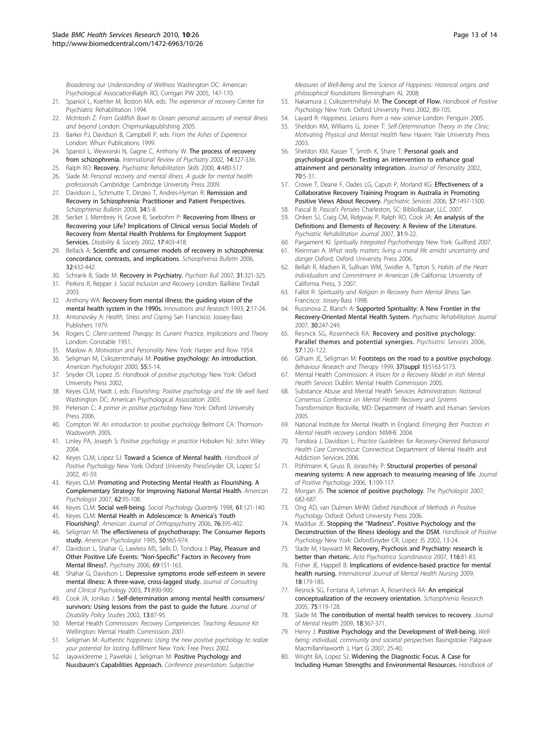<span id="page-12-0"></span>Broadening our Understanding of Wellness Washington DC: American Psychological AssociationRalph RO, Corrigan PW 2005, 147-170.

- 21. Spaniol L, Koehler M, Boston MA, eds: The experience of recovery Center for Psychiatric Rehabilitation 1994.
- 22. McIntosh Z: From Goldfish Bowl to Ocean: personal accounts of mental illness and beyond London: Chipmunkapublishing 2005.
- 23. Barker PJ, Davidson B, Campbell P, eds: From the Ashes of Experience London: Whurr Publications 1999.
- 24. Spaniol L, Wewiorski N, Gagne C, Anthony W: The process of recovery from schizophrenia. International Review of Psychiatry 2002, 14:327-336.
- 25. Ralph RO: Recovery. Psychiatric Rehabilitation Skills 2000, 4:480-517. 26. Slade M: Personal recovery and mental illness. A guide for mental health
- professionals Cambridge: Cambridge University Press 2009.
- 27. Davidson L, Schmutte T, Dinzeo T, Andres-Hyman R: [Remission and](http://www.ncbi.nlm.nih.gov/pubmed/17984297?dopt=Abstract) [Recovery in Schizophrenia: Practitioner and Patient Perspectives.](http://www.ncbi.nlm.nih.gov/pubmed/17984297?dopt=Abstract) Schizophrenia Bulletin 2008, 34:5-8.
- 28. Secker J, Membrey H, Grove B, Seebohm P: Recovering from Illness or Recovering your Life? Implications of Clinical versus Social Models of Recovery from Mental Health Problems for Employment Support Services. Disability & Society 2002, 17:403-418.
- 29. Bellack A: [Scientific and consumer models of recovery in schizophrenia:](http://www.ncbi.nlm.nih.gov/pubmed/16461575?dopt=Abstract) [concordance, contrasts, and implications.](http://www.ncbi.nlm.nih.gov/pubmed/16461575?dopt=Abstract) Schizophrenia Bulletin 2006, 32:432-442.
- 30. Schrank B, Slade M: Recovery in Psychiatry. Psychiatr Bull 2007, 31:321-325.
- 31. Perkins R, Repper J: Social Inclusion and Recovery London: Baillière Tindall 2003.
- 32. Anthony WA: Recovery from mental illness: the guiding vision of the mental health system in the 1990s. Innovations and Research 1993, 2:17-24.
- 33. Antonovsky A: Health, Stress and Coping San Francisco: Jossey-Bass Publishers 1979.
- 34. Rogers C: Client-centered Therapy: Its Current Practice, Implications and Theory London: Constable 1951.
- 35. Maslow A: Motivation and Personality New York: Harper and Row 1954.
- 36. Seligman M, Csikszentmihalyi M: [Positive psychology: An introduction.](http://www.ncbi.nlm.nih.gov/pubmed/11392865?dopt=Abstract) American Psychologist 2000, 55:5-14.
- 37. Snyder CR, Lopez JS: Handbook of positive psychology New York: Oxford University Press 2002.
- 38. Keyes CLM, Haidt J, eds: Flourishing: Positive psychology and the life well lived Washington DC: American Psychological Association 2003.
- 39. Peterson C: A primer in positive psychology New York: Oxford University Press 2006.
- 40. Compton W: An introduction to positive psychology Belmont CA: Thomson-Wadsworth 2005.
- 41. Linley PA, Joseph S: Positive psychology in practice Hoboken NJ: John Wiley 2004.
- 42. Keyes CLM, Lopez SJ: Toward a Science of Mental health. Handbook of Positive Psychology New York: Oxford University PressSnyder CR, Lopez SJ 2002, 45-59.
- 43. Keyes CLM: [Promoting and Protecting Mental Health as Flourishing. A](http://www.ncbi.nlm.nih.gov/pubmed/17324035?dopt=Abstract) [Complementary Strategy for Improving National Mental Health.](http://www.ncbi.nlm.nih.gov/pubmed/17324035?dopt=Abstract) American Psychologist 2007, 62:95-108.
- 44. Keyes CLM: Social well-being. Social Psychology Quarterly 1998, 61:121-140. 45. Keyes CLM: [Mental Health in Adolescence: Is America](http://www.ncbi.nlm.nih.gov/pubmed/16981819?dopt=Abstract)'s Youth
- [Flourishing?.](http://www.ncbi.nlm.nih.gov/pubmed/16981819?dopt=Abstract) American Journal of Orthopsychiatry 2006, 76:395-402. 46. Seligman M: [The effectiveness of psychotherapy: The Consumer Reports](http://www.ncbi.nlm.nih.gov/pubmed/8561380?dopt=Abstract)
- [study.](http://www.ncbi.nlm.nih.gov/pubmed/8561380?dopt=Abstract) American Psychologist 1995, 50:965-974.
- 47. Davidson L, Shahar G, Lawless MS, Sells D, Tondora J: [Play, Pleasure and](http://www.ncbi.nlm.nih.gov/pubmed/16822194?dopt=Abstract) [Other Positive Life Events:](http://www.ncbi.nlm.nih.gov/pubmed/16822194?dopt=Abstract) "Non-Specific" Factors in Recovery from [Mental Illness?.](http://www.ncbi.nlm.nih.gov/pubmed/16822194?dopt=Abstract) Psychiatry 2006, 69:151-163.
- 48. Shahar G, Davidson L: [Depressive symptoms erode self-esteem in severe](http://www.ncbi.nlm.nih.gov/pubmed/14516237?dopt=Abstract) [mental illness: A three-wave, cross-lagged study.](http://www.ncbi.nlm.nih.gov/pubmed/14516237?dopt=Abstract) Journal of Consulting and Clinical Psychology 2003, 71:890-900.
- 49. Cook JA, Jonikas J: Self-determination among mental health consumers/ survivors: Using lessons from the past to guide the future. Journal of Disability Policy Studies 2002, 13:87-95.
- 50. Mental Health Commission: Recovery Competencies. Teaching Resource Kit Wellington: Mental Health Commission 2001.
- 51. Seligman M: Authentic happiness: Using the new positive psychology to realize your potential for lasting fulfillment New York: Free Press 2002.
- 52. Jayawickreme J, Pawelski J, Seligman M: Positive Psychology and Nussbaum's Capabilities Approach. Conference presentation: Subjective

Measures of Well-Being and the Science of Happiness: Historical origins and philosophical foundations Birmingham AL 2008.

- 53. Nakamura J, Csikszentmihalyi M: The Concept of Flow. Handbook of Positive Psychology New York: Oxford University Press 2002, 89-105.
- 54. Layard R: Happiness. Lessons from a new science London: Penguin 2005.
- 55. Sheldon KM, Williams G, Joiner T: Self-Determination Theory in the Clinic: Motivating Physical and Mental Health New Haven: Yale University Press 2003.
- 56. Sheldon KM, Kasser T, Smith K, Share T: [Personal goals and](http://www.ncbi.nlm.nih.gov/pubmed/11908535?dopt=Abstract) [psychological growth: Testing an intervention to enhance goal](http://www.ncbi.nlm.nih.gov/pubmed/11908535?dopt=Abstract) [attainment and personality integration.](http://www.ncbi.nlm.nih.gov/pubmed/11908535?dopt=Abstract) Journal of Personality 2002, 70:5-31.
- 57. Crowe T, Deane F, Oades LG, Caputi P, Morland KG: [Effectiveness of a](http://www.ncbi.nlm.nih.gov/pubmed/17035572?dopt=Abstract) [Collaborative Recovery Training Program in Australia in Promoting](http://www.ncbi.nlm.nih.gov/pubmed/17035572?dopt=Abstract) [Positive Views About Recovery.](http://www.ncbi.nlm.nih.gov/pubmed/17035572?dopt=Abstract) Psychiatric Services 2006, 57:1497-1500.
- 58. Pascal B: Pascal's Pensées Charleston, SC: BiblioBazaar, LLC 2007.
- 59. Onken SJ, Craig CM, Ridgway P, Ralph RO, Cook JA: [An analysis of the](http://www.ncbi.nlm.nih.gov/pubmed/17694711?dopt=Abstract) [Definitions and Elements of Recovery: A Review of the Literature.](http://www.ncbi.nlm.nih.gov/pubmed/17694711?dopt=Abstract) Psychiatric Rehabilitation Journal 2007, 31:9-22.
- 60. Pargament KI: Spiritually Integrated Psychotherapy New York: Guilford 2007.
- 61. Kleinman A: What really matters: living a moral life amidst uncertainty and danger Oxford: Oxford University Press 2006.
- 62. Bellah R, Madsen R, Sullivan WM, Swidler A, Tipton S: Habits of the Heart: Individualism and Commitment in American Life California: University of California Press, 3 2007.
- 63. Fallot R: Spirituality and Religion in Recovery from Mental Illness San Francisco: Jossey-Bass 1998.
- 64. Russinova Z, Blanch A: [Supported Spirituality: A New Frontier in the](http://www.ncbi.nlm.nih.gov/pubmed/17458448?dopt=Abstract) [Recovery-Oriented Mental Health System.](http://www.ncbi.nlm.nih.gov/pubmed/17458448?dopt=Abstract) Psychiatric Rehabilitation Journal 2007, 30:247-249.
- 65. Resnick SG, Rosenheck RA: [Recovery and positive psychology:](http://www.ncbi.nlm.nih.gov/pubmed/16399972?dopt=Abstract) [Parallel themes and potential synergies.](http://www.ncbi.nlm.nih.gov/pubmed/16399972?dopt=Abstract) Psychiatric Services 2006, 57:120-122.
- 66. Gilham JE, Seligman M: [Footsteps on the road to a positive psychology.](http://www.ncbi.nlm.nih.gov/pubmed/10402701?dopt=Abstract) Behaviour Research and Therapy 1999, 37(suppl 1):S163-S173.
- 67. Mental Health Commission: A Vision for a Recovery Model in Irish Mental Health Services Dublin: Mental Health Commission 2005.
- 68. Substance Abuse and Mental Health Services Administration: National Consensus Conference on Mental Health Recovery and Systems Transformation Rockville, MD: Department of Health and Human Services 2005.
- 69. National Institute for Mental Health in England: Emerging Best Practices in Mental Health recovery London: NIMHE 2004.
- 70. Tondora J, Davidson L: Practice Guidelines for Recovery-Oriented Behavioral Health Care Connecticut: Connecticut Department of Mental Health and Addiction Services 2006.
- 71. Pöhlmann K, Gruss B, Joraschky P: Structural properties of personal meaning systems: A new approach to measuring meaning of life. Journal of Positive Psychology 2006, 1:109-117.
- 72. Morgan JS: The science of positive psychology. The Psychologist 2007, 682-687.
- 73. Ong AD, van Dulmen MHM: Oxford Handbook of Methods in Positive Psychology Oxford: Oxford University Press 2006.
- 74. Maddux JE: Stopping the "Madness". Positive Psychology and the Deconstruction of the Illness Ideology and the DSM. Handbook of Positive Psychology New York: OxfordSnyder CR, Lopez JS 2002, 13-24.
- 75. Slade M, Hayward M: [Recovery, Psychosis and Psychiatry: research is](http://www.ncbi.nlm.nih.gov/pubmed/17650268?dopt=Abstract) [better than rhetoric.](http://www.ncbi.nlm.nih.gov/pubmed/17650268?dopt=Abstract) Acta Psychiatrica Scandinavica 2007, 116:81-83.
- 76. Fisher JE, Happell B: [Implications of evidence-based practice for mental](http://www.ncbi.nlm.nih.gov/pubmed/19490228?dopt=Abstract) [health nursing.](http://www.ncbi.nlm.nih.gov/pubmed/19490228?dopt=Abstract) International Journal of Mental Health Nursing 2009, 18:179-185.
- 77. Resnick SG, Fontana A, Lehman A, Rosenheck RA: [An empirical](http://www.ncbi.nlm.nih.gov/pubmed/15820330?dopt=Abstract) [conceptualization of the recovery orientation.](http://www.ncbi.nlm.nih.gov/pubmed/15820330?dopt=Abstract) Schizophrenia Research 2005, 75:119-128.
- 78. Slade M: The contribution of mental health services to recovery. Journal of Mental Health 2009, 18:367-371.
- 79. Henry J: Positive Psychology and the Development of Well-being. Wellbeing: individual, community and societal perspectives Basingstoke: Palgrave MacmillanHaworth J, Hart G 2007, 25-40.
- 80. Wright BA, Lopez SJ: Widening the Diagnostic Focus. A Case for Including Human Strengths and Environmental Resources. Handbook of